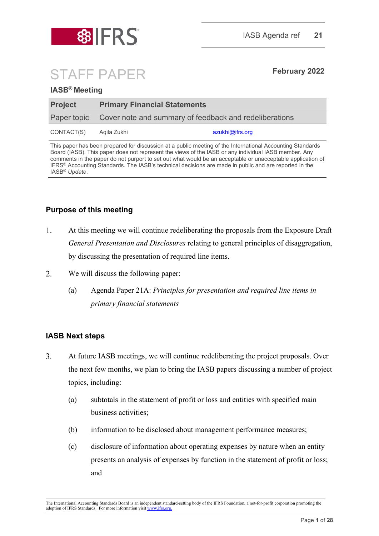

# STAFF PAPER **February <sup>2022</sup>**

#### **IASB® Meeting**

| <b>Project</b> |                                                                    | <b>Primary Financial Statements</b> |  |  |
|----------------|--------------------------------------------------------------------|-------------------------------------|--|--|
|                | Paper topic Cover note and summary of feedback and redeliberations |                                     |  |  |
| CONTACT(S)     | Agila Zukhi                                                        | <u>azukhi@ifrs.org</u>              |  |  |

This paper has been prepared for discussion at a public meeting of the International Accounting Standards Board (IASB). This paper does not represent the views of the IASB or any individual IASB member. Any comments in the paper do not purport to set out what would be an acceptable or unacceptable application of IFRS® Accounting Standards. The IASB's technical decisions are made in public and are reported in the IASB® *Update*.

#### **Purpose of this meeting**

- 1. At this meeting we will continue redeliberating the proposals from the Exposure Draft *General Presentation and Disclosures* relating to general principles of disaggregation, by discussing the presentation of required line items.
- $\overline{2}$ . We will discuss the following paper:
	- (a) Agenda Paper 21A: *Principles for presentation and required line items in primary financial statements*

#### **IASB Next steps**

- 3. At future IASB meetings, we will continue redeliberating the project proposals. Over the next few months, we plan to bring the IASB papers discussing a number of project topics, including:
	- (a) subtotals in the statement of profit or loss and entities with specified main business activities;
	- (b) information to be disclosed about management performance measures;
	- (c) disclosure of information about operating expenses by nature when an entity presents an analysis of expenses by function in the statement of profit or loss; and

The International Accounting Standards Board is an independent standard-setting body of the IFRS Foundation, a not-for-profit corporation promoting the adoption of IFRS Standards. For more information visit [www.ifrs.org.](http://www.ifrs.org/)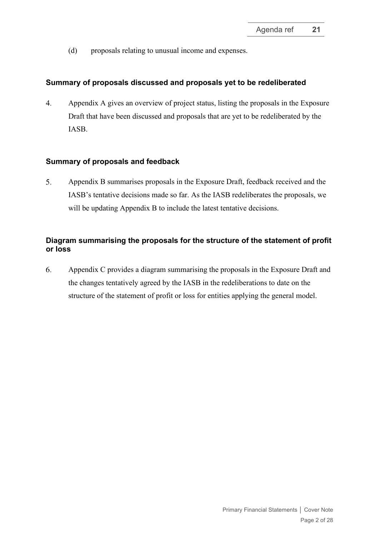(d) proposals relating to unusual income and expenses.

#### **Summary of proposals discussed and proposals yet to be redeliberated**

 $\overline{4}$ . Appendix A gives an overview of project status, listing the proposals in the Exposure Draft that have been discussed and proposals that are yet to be redeliberated by the IASB.

#### **Summary of proposals and feedback**

5. Appendix B summarises proposals in the Exposure Draft, feedback received and the IASB's tentative decisions made so far. As the IASB redeliberates the proposals, we will be updating Appendix B to include the latest tentative decisions.

### **Diagram summarising the proposals for the structure of the statement of profit or loss**

6. Appendix C provides a diagram summarising the proposals in the Exposure Draft and the changes tentatively agreed by the IASB in the redeliberations to date on the structure of the statement of profit or loss for entities applying the general model.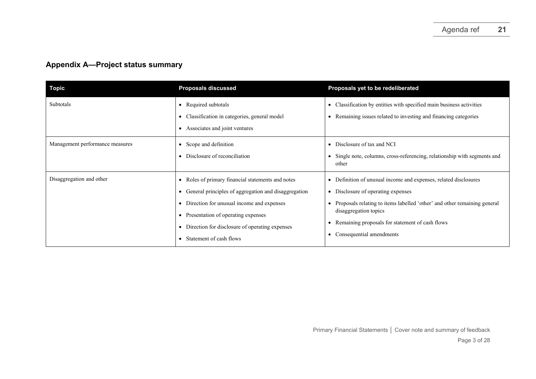# **Appendix A—Project status summary**

| <b>Topic</b>                    | <b>Proposals discussed</b>                                                                                                                                                                                                                                                                     | Proposals yet to be redeliberated                                                                                                                                                                                                                                                                                     |
|---------------------------------|------------------------------------------------------------------------------------------------------------------------------------------------------------------------------------------------------------------------------------------------------------------------------------------------|-----------------------------------------------------------------------------------------------------------------------------------------------------------------------------------------------------------------------------------------------------------------------------------------------------------------------|
| Subtotals                       | • Required subtotals<br>• Classification in categories, general model<br>• Associates and joint ventures                                                                                                                                                                                       | Classification by entities with specified main business activities<br>$\bullet$<br>Remaining issues related to investing and financing categories<br>$\bullet$                                                                                                                                                        |
| Management performance measures | • Scope and definition<br>• Disclosure of reconciliation                                                                                                                                                                                                                                       | Disclosure of tax and NCI<br>$\bullet$<br>Single note, columns, cross-referencing, relationship with segments and<br>other                                                                                                                                                                                            |
| Disaggregation and other        | • Roles of primary financial statements and notes<br>• General principles of aggregation and disaggregation<br>• Direction for unusual income and expenses<br>• Presentation of operating expenses<br>• Direction for disclosure of operating expenses<br>Statement of cash flows<br>$\bullet$ | Definition of unusual income and expenses, related disclosures<br>٠<br>Disclosure of operating expenses<br>$\bullet$<br>Proposals relating to items labelled 'other' and other remaining general<br>disaggregation topics<br>Remaining proposals for statement of cash flows<br>Consequential amendments<br>$\bullet$ |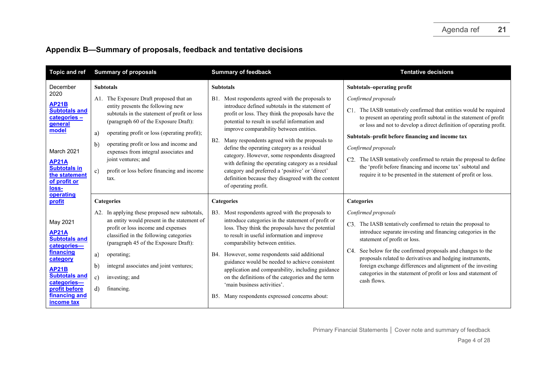## **Appendix B—Summary of proposals, feedback and tentative decisions**

| <b>Topic and ref</b>                                                                                                                                                                                   | <b>Summary of proposals</b>                                                                                                                                                                                                                                                                                                                                                                                                     | <b>Summary of feedback</b>                                                                                                                                                                                                                                                                                                                                                                                                                                                                                                                                                                                                                 | <b>Tentative decisions</b>                                                                                                                                                                                                                                                                                                                                                                                                                                                                                                                            |
|--------------------------------------------------------------------------------------------------------------------------------------------------------------------------------------------------------|---------------------------------------------------------------------------------------------------------------------------------------------------------------------------------------------------------------------------------------------------------------------------------------------------------------------------------------------------------------------------------------------------------------------------------|--------------------------------------------------------------------------------------------------------------------------------------------------------------------------------------------------------------------------------------------------------------------------------------------------------------------------------------------------------------------------------------------------------------------------------------------------------------------------------------------------------------------------------------------------------------------------------------------------------------------------------------------|-------------------------------------------------------------------------------------------------------------------------------------------------------------------------------------------------------------------------------------------------------------------------------------------------------------------------------------------------------------------------------------------------------------------------------------------------------------------------------------------------------------------------------------------------------|
| December<br>2020<br><b>AP21B</b><br><b>Subtotals and</b><br>categories-<br>general<br>model<br>March 2021<br><b>AP21A</b><br><b>Subtotals in</b><br>the statement<br>of profit or<br>loss-             | <b>Subtotals</b><br>The Exposure Draft proposed that an<br>Al.<br>entity presents the following new<br>subtotals in the statement of profit or loss<br>(paragraph 60 of the Exposure Draft):<br>operating profit or loss (operating profit);<br>a)<br>operating profit or loss and income and<br>b)<br>expenses from integral associates and<br>joint ventures; and<br>profit or loss before financing and income<br>c)<br>tax. | <b>Subtotals</b><br>Most respondents agreed with the proposals to<br><b>B</b> 1.<br>introduce defined subtotals in the statement of<br>profit or loss. They think the proposals have the<br>potential to result in useful information and<br>improve comparability between entities.<br>Many respondents agreed with the proposals to<br><b>B2.</b><br>define the operating category as a residual<br>category. However, some respondents disagreed<br>with defining the operating category as a residual<br>category and preferred a 'positive' or 'direct'<br>definition because they disagreed with the content<br>of operating profit. | Subtotals-operating profit<br>Confirmed proposals<br>C1. The IASB tentatively confirmed that entities would be required<br>to present an operating profit subtotal in the statement of profit<br>or loss and not to develop a direct definition of operating profit.<br>Subtotals-profit before financing and income tax<br>Confirmed proposals<br>C2. The IASB tentatively confirmed to retain the proposal to define<br>the 'profit before financing and income tax' subtotal and<br>require it to be presented in the statement of profit or loss. |
| <b>operating</b><br>profit                                                                                                                                                                             | <b>Categories</b>                                                                                                                                                                                                                                                                                                                                                                                                               | Categories                                                                                                                                                                                                                                                                                                                                                                                                                                                                                                                                                                                                                                 | <b>Categories</b>                                                                                                                                                                                                                                                                                                                                                                                                                                                                                                                                     |
| May 2021<br><b>AP21A</b><br><b>Subtotals and</b><br>categories-<br>financing<br>category<br><b>AP21B</b><br><b>Subtotals and</b><br>categories-<br>profit before<br>financing and<br><b>income tax</b> | A2. In applying these proposed new subtotals,<br>an entity would present in the statement of<br>profit or loss income and expenses<br>classified in the following categories<br>(paragraph 45 of the Exposure Draft):<br>a)<br>operating;<br>b)<br>integral associates and joint ventures;<br>c)<br>investing; and<br>d)<br>financing.                                                                                          | Most respondents agreed with the proposals to<br><b>B</b> 3.<br>introduce categories in the statement of profit or<br>loss. They think the proposals have the potential<br>to result in useful information and improve<br>comparability between entities.<br>However, some respondents said additional<br>B4.<br>guidance would be needed to achieve consistent<br>application and comparability, including guidance<br>on the definitions of the categories and the term<br>'main business activities'.<br>Many respondents expressed concerns about:<br><b>B5.</b>                                                                       | Confirmed proposals<br>C3. The IASB tentatively confirmed to retain the proposal to<br>introduce separate investing and financing categories in the<br>statement of profit or loss.<br>See below for the confirmed proposals and changes to the<br>C4.<br>proposals related to derivatives and hedging instruments,<br>foreign exchange differences and alignment of the investing<br>categories in the statement of profit or loss and statement of<br>cash flows.                                                                                   |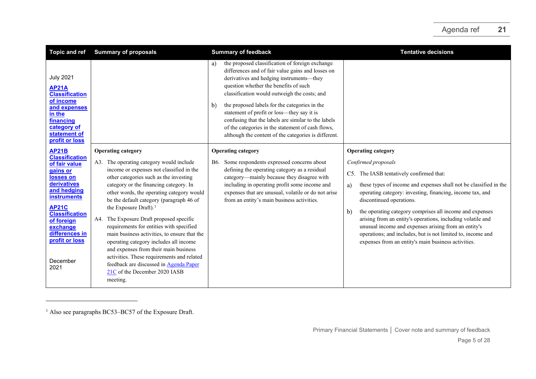<span id="page-4-0"></span>

| <b>Topic and ref</b>                                                                                                                                                                                                                                           | <b>Summary of proposals</b>                                                                                                                                                                                                                                                                                                                                                                                                                                                                                                                                                                                                                                                                         | <b>Summary of feedback</b>                                                                                                                                                                                                                                                                                                                                                                                                                                                                                               | <b>Tentative decisions</b>                                                                                                                                                                                                                                                                                                                                                                                                                                                                                                                                                                |
|----------------------------------------------------------------------------------------------------------------------------------------------------------------------------------------------------------------------------------------------------------------|-----------------------------------------------------------------------------------------------------------------------------------------------------------------------------------------------------------------------------------------------------------------------------------------------------------------------------------------------------------------------------------------------------------------------------------------------------------------------------------------------------------------------------------------------------------------------------------------------------------------------------------------------------------------------------------------------------|--------------------------------------------------------------------------------------------------------------------------------------------------------------------------------------------------------------------------------------------------------------------------------------------------------------------------------------------------------------------------------------------------------------------------------------------------------------------------------------------------------------------------|-------------------------------------------------------------------------------------------------------------------------------------------------------------------------------------------------------------------------------------------------------------------------------------------------------------------------------------------------------------------------------------------------------------------------------------------------------------------------------------------------------------------------------------------------------------------------------------------|
| <b>July 2021</b><br><b>AP21A</b><br><b>Classification</b><br>of income<br>and expenses<br>in the<br>financing<br>category of<br>statement of<br>profit or loss                                                                                                 |                                                                                                                                                                                                                                                                                                                                                                                                                                                                                                                                                                                                                                                                                                     | the proposed classification of foreign exchange<br>a)<br>differences and of fair value gains and losses on<br>derivatives and hedging instruments-they<br>question whether the benefits of such<br>classification would outweigh the costs; and<br>the proposed labels for the categories in the<br>b)<br>statement of profit or loss—they say it is<br>confusing that the labels are similar to the labels<br>of the categories in the statement of cash flows,<br>although the content of the categories is different. |                                                                                                                                                                                                                                                                                                                                                                                                                                                                                                                                                                                           |
| <b>AP21B</b><br><b>Classification</b><br>of fair value<br>gains or<br>losses on<br>derivatives<br>and hedging<br><b>instruments</b><br><b>AP21C</b><br><b>Classification</b><br>of foreign<br>exchange<br>differences in<br>profit or loss<br>December<br>2021 | <b>Operating category</b><br>A3. The operating category would include<br>income or expenses not classified in the<br>other categories such as the investing<br>category or the financing category. In<br>other words, the operating category would<br>be the default category (paragraph 46 of<br>the Exposure Draft). <sup>1</sup><br>A4. The Exposure Draft proposed specific<br>requirements for entities with specified<br>main business activities, to ensure that the<br>operating category includes all income<br>and expenses from their main business<br>activities. These requirements and related<br>feedback are discussed in Agenda Paper<br>21C of the December 2020 IASB<br>meeting. | <b>Operating category</b><br>Some respondents expressed concerns about<br>B6.<br>defining the operating category as a residual<br>category-mainly because they disagree with<br>including in operating profit some income and<br>expenses that are unusual, volatile or do not arise<br>from an entity's main business activities.                                                                                                                                                                                       | <b>Operating category</b><br>Confirmed proposals<br>C5. The IASB tentatively confirmed that:<br>these types of income and expenses shall not be classified in the<br>a)<br>operating category: investing, financing, income tax, and<br>discontinued operations.<br>the operating category comprises all income and expenses<br>$\mathbf{b}$<br>arising from an entity's operations, including volatile and<br>unusual income and expenses arising from an entity's<br>operations; and includes, but is not limited to, income and<br>expenses from an entity's main business activities. |

<sup>&</sup>lt;sup>1</sup> Also see paragraphs BC53–BC57 of the Exposure Draft.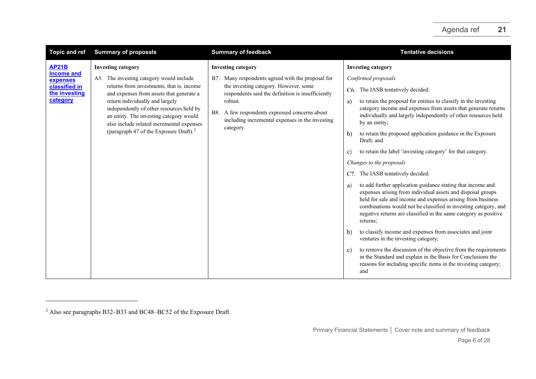<span id="page-5-0"></span>

| <b>Topic and ref</b>                                                                        | <b>Summary of proposals</b>                                                                                                                                                                                                                                                                                                                                                                 | <b>Summary of feedback</b>                                                                                                                                                                                                                                                                                   | <b>Tentative decisions</b>                                                                                                                                                                                                                                                                                                                                                                                                                                                                                                                                                                                                                                                                                                                                                                                                                                                                                                                                                                                                                                                                                                                                                                                                                              |
|---------------------------------------------------------------------------------------------|---------------------------------------------------------------------------------------------------------------------------------------------------------------------------------------------------------------------------------------------------------------------------------------------------------------------------------------------------------------------------------------------|--------------------------------------------------------------------------------------------------------------------------------------------------------------------------------------------------------------------------------------------------------------------------------------------------------------|---------------------------------------------------------------------------------------------------------------------------------------------------------------------------------------------------------------------------------------------------------------------------------------------------------------------------------------------------------------------------------------------------------------------------------------------------------------------------------------------------------------------------------------------------------------------------------------------------------------------------------------------------------------------------------------------------------------------------------------------------------------------------------------------------------------------------------------------------------------------------------------------------------------------------------------------------------------------------------------------------------------------------------------------------------------------------------------------------------------------------------------------------------------------------------------------------------------------------------------------------------|
| <b>AP21B</b><br><b>Income and</b><br>expenses<br>classified in<br>the investing<br>category | <b>Investing category</b><br>A5. The investing category would include<br>returns from investments, that is, income<br>and expenses from assets that generate a<br>return individually and largely<br>independently of other resources held by<br>an entity. The investing category would<br>also include related incremental expenses<br>(paragraph 47 of the Exposure Draft). <sup>2</sup> | <b>Investing category</b><br>B7. Many respondents agreed with the proposal for<br>the investing category. However, some<br>respondents said the definition is insufficiently<br>robust.<br>A few respondents expressed concerns about<br>B8.<br>including incremental expenses in the investing<br>category. | <b>Investing category</b><br>Confirmed proposals<br>C6. The IASB tentatively decided:<br>to retain the proposal for entities to classify in the investing<br>a)<br>category income and expenses from assets that generate returns<br>individually and largely independently of other resources held<br>by an entity;<br>to retain the proposed application guidance in the Exposure<br>$\mathbf{b}$<br>Draft; and<br>to retain the label 'investing category' for that category.<br>C)<br>Changes to the proposals<br>The IASB tentatively decided:<br>C7.<br>to add further application guidance stating that income and<br>a)<br>expenses arising from individual assets and disposal groups<br>held for sale and income and expenses arising from business<br>combinations would not be classified in investing category, and<br>negative returns are classified in the same category as positive<br>returns:<br>to classify income and expenses from associates and joint<br>$\mathbf{b}$<br>ventures in the investing category;<br>to remove the discussion of the objective from the requirements<br>c)<br>in the Standard and explain in the Basis for Conclusions the<br>reasons for including specific items in the investing category;<br>and |

<sup>2</sup> Also see paragraphs B32–B33 and BC48–BC52 of the Exposure Draft.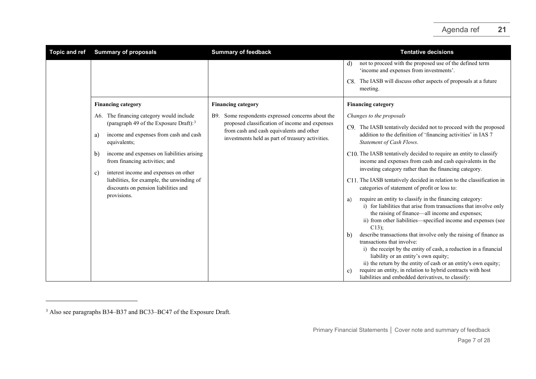<span id="page-6-0"></span>

| <b>Topic and ref</b> | <b>Summary of proposals</b>                                                                                                                                                                                                                                                                                                                                                                     | <b>Summary of feedback</b>                                                                                                                                                                             | <b>Tentative decisions</b>                                                                                                                                                                                                                                                                                                                                                                                                                                                                                                                                                                                                                                                                                                                                                                                                                                                                                                                                                                                    |
|----------------------|-------------------------------------------------------------------------------------------------------------------------------------------------------------------------------------------------------------------------------------------------------------------------------------------------------------------------------------------------------------------------------------------------|--------------------------------------------------------------------------------------------------------------------------------------------------------------------------------------------------------|---------------------------------------------------------------------------------------------------------------------------------------------------------------------------------------------------------------------------------------------------------------------------------------------------------------------------------------------------------------------------------------------------------------------------------------------------------------------------------------------------------------------------------------------------------------------------------------------------------------------------------------------------------------------------------------------------------------------------------------------------------------------------------------------------------------------------------------------------------------------------------------------------------------------------------------------------------------------------------------------------------------|
|                      |                                                                                                                                                                                                                                                                                                                                                                                                 |                                                                                                                                                                                                        | not to proceed with the proposed use of the defined term<br>d)<br>'income and expenses from investments'.                                                                                                                                                                                                                                                                                                                                                                                                                                                                                                                                                                                                                                                                                                                                                                                                                                                                                                     |
|                      |                                                                                                                                                                                                                                                                                                                                                                                                 |                                                                                                                                                                                                        | The IASB will discuss other aspects of proposals at a future<br>C8.<br>meeting.                                                                                                                                                                                                                                                                                                                                                                                                                                                                                                                                                                                                                                                                                                                                                                                                                                                                                                                               |
|                      | <b>Financing category</b>                                                                                                                                                                                                                                                                                                                                                                       | <b>Financing category</b>                                                                                                                                                                              | <b>Financing category</b>                                                                                                                                                                                                                                                                                                                                                                                                                                                                                                                                                                                                                                                                                                                                                                                                                                                                                                                                                                                     |
|                      | A6. The financing category would include<br>(paragraph 49 of the Exposure Draft): $3$<br>income and expenses from cash and cash<br>a)<br>equivalents;<br>income and expenses on liabilities arising<br>b)<br>from financing activities; and<br>interest income and expenses on other<br>c)<br>liabilities, for example, the unwinding of<br>discounts on pension liabilities and<br>provisions. | Some respondents expressed concerns about the<br>B9.<br>proposed classification of income and expenses<br>from cash and cash equivalents and other<br>investments held as part of treasury activities. | Changes to the proposals<br>C9. The IASB tentatively decided not to proceed with the proposed<br>addition to the definition of 'financing activities' in IAS 7<br>Statement of Cash Flows.<br>C10. The IASB tentatively decided to require an entity to classify<br>income and expenses from cash and cash equivalents in the<br>investing category rather than the financing category.<br>C11. The IASB tentatively decided in relation to the classification in<br>categories of statement of profit or loss to:<br>require an entity to classify in the financing category:<br>a)<br>i) for liabilities that arise from transactions that involve only<br>the raising of finance—all income and expenses;<br>ii) from other liabilities—specified income and expenses (see<br>$C13$ :<br>describe transactions that involve only the raising of finance as<br>b)<br>transactions that involve:<br>i) the receipt by the entity of cash, a reduction in a financial<br>liability or an entity's own equity; |
|                      |                                                                                                                                                                                                                                                                                                                                                                                                 |                                                                                                                                                                                                        | ii) the return by the entity of cash or an entity's own equity;<br>require an entity, in relation to hybrid contracts with host<br>c)<br>liabilities and embedded derivatives, to classify:                                                                                                                                                                                                                                                                                                                                                                                                                                                                                                                                                                                                                                                                                                                                                                                                                   |

<sup>&</sup>lt;sup>3</sup> Also see paragraphs B34–B37 and BC33–BC47 of the Exposure Draft.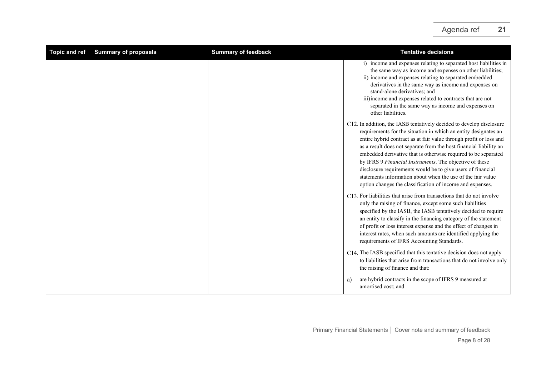<span id="page-7-0"></span>

| <b>Topic and ref</b> | <b>Summary of proposals</b> | <b>Summary of feedback</b> | <b>Tentative decisions</b>                                                                                                                                                                                                                                                                                                                                                                                                                                                                                                                                                                                  |
|----------------------|-----------------------------|----------------------------|-------------------------------------------------------------------------------------------------------------------------------------------------------------------------------------------------------------------------------------------------------------------------------------------------------------------------------------------------------------------------------------------------------------------------------------------------------------------------------------------------------------------------------------------------------------------------------------------------------------|
|                      |                             |                            | i) income and expenses relating to separated host liabilities in<br>the same way as income and expenses on other liabilities;<br>ii) income and expenses relating to separated embedded<br>derivatives in the same way as income and expenses on<br>stand-alone derivatives: and<br>iii) income and expenses related to contracts that are not<br>separated in the same way as income and expenses on<br>other liabilities.                                                                                                                                                                                 |
|                      |                             |                            | C12. In addition, the IASB tentatively decided to develop disclosure<br>requirements for the situation in which an entity designates an<br>entire hybrid contract as at fair value through profit or loss and<br>as a result does not separate from the host financial liability an<br>embedded derivative that is otherwise required to be separated<br>by IFRS 9 Financial Instruments. The objective of these<br>disclosure requirements would be to give users of financial<br>statements information about when the use of the fair value<br>option changes the classification of income and expenses. |
|                      |                             |                            | C13. For liabilities that arise from transactions that do not involve<br>only the raising of finance, except some such liabilities<br>specified by the IASB, the IASB tentatively decided to require<br>an entity to classify in the financing category of the statement<br>of profit or loss interest expense and the effect of changes in<br>interest rates, when such amounts are identified applying the<br>requirements of IFRS Accounting Standards.                                                                                                                                                  |
|                      |                             |                            | C14. The IASB specified that this tentative decision does not apply<br>to liabilities that arise from transactions that do not involve only<br>the raising of finance and that:                                                                                                                                                                                                                                                                                                                                                                                                                             |
|                      |                             |                            | are hybrid contracts in the scope of IFRS 9 measured at<br>a)<br>amortised cost; and                                                                                                                                                                                                                                                                                                                                                                                                                                                                                                                        |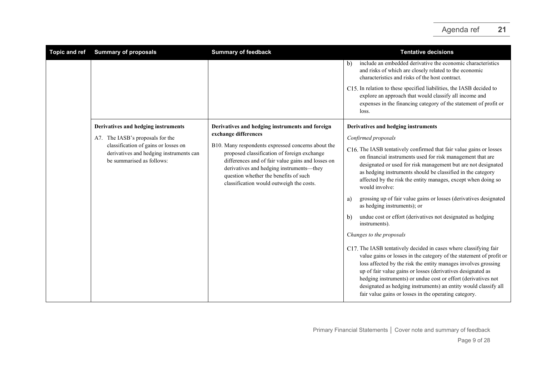| <b>Topic and ref</b> | <b>Summary of proposals</b>                                                                                  | <b>Summary of feedback</b>                                                                                                                                                                                                                                                              | <b>Tentative decisions</b>                                                                                                                                                                                                                                                                                                                                                                                                                                             |
|----------------------|--------------------------------------------------------------------------------------------------------------|-----------------------------------------------------------------------------------------------------------------------------------------------------------------------------------------------------------------------------------------------------------------------------------------|------------------------------------------------------------------------------------------------------------------------------------------------------------------------------------------------------------------------------------------------------------------------------------------------------------------------------------------------------------------------------------------------------------------------------------------------------------------------|
|                      |                                                                                                              |                                                                                                                                                                                                                                                                                         | include an embedded derivative the economic characteristics<br>b)<br>and risks of which are closely related to the economic<br>characteristics and risks of the host contract.                                                                                                                                                                                                                                                                                         |
|                      |                                                                                                              |                                                                                                                                                                                                                                                                                         | C15. In relation to these specified liabilities, the IASB decided to<br>explore an approach that would classify all income and<br>expenses in the financing category of the statement of profit or<br>loss.                                                                                                                                                                                                                                                            |
|                      | Derivatives and hedging instruments                                                                          | Derivatives and hedging instruments and foreign                                                                                                                                                                                                                                         | Derivatives and hedging instruments                                                                                                                                                                                                                                                                                                                                                                                                                                    |
|                      | A7. The IASB's proposals for the                                                                             | exchange differences                                                                                                                                                                                                                                                                    | Confirmed proposals                                                                                                                                                                                                                                                                                                                                                                                                                                                    |
|                      | classification of gains or losses on<br>derivatives and hedging instruments can<br>be summarised as follows: | B10. Many respondents expressed concerns about the<br>proposed classification of foreign exchange<br>differences and of fair value gains and losses on<br>derivatives and hedging instruments-they<br>question whether the benefits of such<br>classification would outweigh the costs. | C16. The IASB tentatively confirmed that fair value gains or losses<br>on financial instruments used for risk management that are<br>designated or used for risk management but are not designated<br>as hedging instruments should be classified in the category<br>affected by the risk the entity manages, except when doing so<br>would involve:                                                                                                                   |
|                      |                                                                                                              |                                                                                                                                                                                                                                                                                         | grossing up of fair value gains or losses (derivatives designated<br>a)<br>as hedging instruments); or                                                                                                                                                                                                                                                                                                                                                                 |
|                      |                                                                                                              |                                                                                                                                                                                                                                                                                         | undue cost or effort (derivatives not designated as hedging<br>b)<br>instruments).                                                                                                                                                                                                                                                                                                                                                                                     |
|                      |                                                                                                              |                                                                                                                                                                                                                                                                                         | Changes to the proposals                                                                                                                                                                                                                                                                                                                                                                                                                                               |
|                      |                                                                                                              |                                                                                                                                                                                                                                                                                         | C17. The IASB tentatively decided in cases where classifying fair<br>value gains or losses in the category of the statement of profit or<br>loss affected by the risk the entity manages involves grossing<br>up of fair value gains or losses (derivatives designated as<br>hedging instruments) or undue cost or effort (derivatives not<br>designated as hedging instruments) an entity would classify all<br>fair value gains or losses in the operating category. |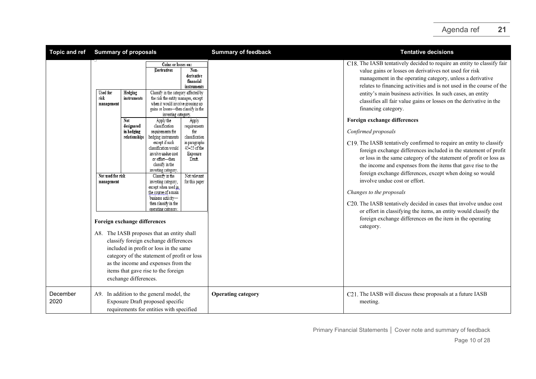| <b>Topic and ref</b> | <b>Summary of proposals</b>                                                                                                                                   |                                                                                              |                                                                                                                                                                                                                                                                                                                                                                                                                                                                                                                                                                                                                                                                                                                                                                                                           | <b>Summary of feedback</b>                                                                                                                                                                | <b>Tentative decisions</b>                                              |                                                                                                                                                                                                                                                                                                                                                                                                                                                                                                                                                                                                                                                                                                                                                                                                                                                                                                                                                                                                                                                                                                                          |
|----------------------|---------------------------------------------------------------------------------------------------------------------------------------------------------------|----------------------------------------------------------------------------------------------|-----------------------------------------------------------------------------------------------------------------------------------------------------------------------------------------------------------------------------------------------------------------------------------------------------------------------------------------------------------------------------------------------------------------------------------------------------------------------------------------------------------------------------------------------------------------------------------------------------------------------------------------------------------------------------------------------------------------------------------------------------------------------------------------------------------|-------------------------------------------------------------------------------------------------------------------------------------------------------------------------------------------|-------------------------------------------------------------------------|--------------------------------------------------------------------------------------------------------------------------------------------------------------------------------------------------------------------------------------------------------------------------------------------------------------------------------------------------------------------------------------------------------------------------------------------------------------------------------------------------------------------------------------------------------------------------------------------------------------------------------------------------------------------------------------------------------------------------------------------------------------------------------------------------------------------------------------------------------------------------------------------------------------------------------------------------------------------------------------------------------------------------------------------------------------------------------------------------------------------------|
|                      | <b>Used for</b><br>risk<br>management<br>Not<br>Not used for risk<br>management<br>Foreign exchange differences<br>A8. The IASB proposes that an entity shall | Hedging<br>instruments<br>designated<br>in hedging<br>relationships<br>exchange differences. | Gains or losses on:<br>Derivatives<br>Classify in the category affected by<br>the risk the entity manages, except<br>when it would involve grossing up<br>gains or losses-then classify in the<br>investing category.<br>Apply the<br>classification<br>requirements for<br>hedging instruments<br>except if such<br>classification would<br>involve undue cost<br>or effort-then<br>classify in the<br>investing category.<br>Classify in the<br>investing category,<br>except when used in.<br>the course of a main<br>business activity-<br>then classify in the<br>operating category<br>classify foreign exchange differences<br>included in profit or loss in the same<br>category of the statement of profit or loss<br>as the income and expenses from the<br>items that gave rise to the foreign | Non-<br>derivative<br>financial<br>instruments<br>Apply<br>requirements<br>for<br>classification<br>in paragraphs<br>45-55 of the<br>Exposure<br>Draft.<br>Not relevant<br>for this paper |                                                                         | C18. The IASB tentatively decided to require an entity to classify fair<br>value gains or losses on derivatives not used for risk<br>management in the operating category, unless a derivative<br>relates to financing activities and is not used in the course of the<br>entity's main business activities. In such cases, an entity<br>classifies all fair value gains or losses on the derivative in the<br>financing category.<br>Foreign exchange differences<br>Confirmed proposals<br>C19. The IASB tentatively confirmed to require an entity to classify<br>foreign exchange differences included in the statement of profit<br>or loss in the same category of the statement of profit or loss as<br>the income and expenses from the items that gave rise to the<br>foreign exchange differences, except when doing so would<br>involve undue cost or effort.<br>Changes to the proposals<br>C20. The IASB tentatively decided in cases that involve undue cost<br>or effort in classifying the items, an entity would classify the<br>foreign exchange differences on the item in the operating<br>category. |
| December<br>2020     | A9. In addition to the general model, the<br>Exposure Draft proposed specific<br>requirements for entities with specified                                     |                                                                                              |                                                                                                                                                                                                                                                                                                                                                                                                                                                                                                                                                                                                                                                                                                                                                                                                           | <b>Operating category</b>                                                                                                                                                                 | C21. The IASB will discuss these proposals at a future IASB<br>meeting. |                                                                                                                                                                                                                                                                                                                                                                                                                                                                                                                                                                                                                                                                                                                                                                                                                                                                                                                                                                                                                                                                                                                          |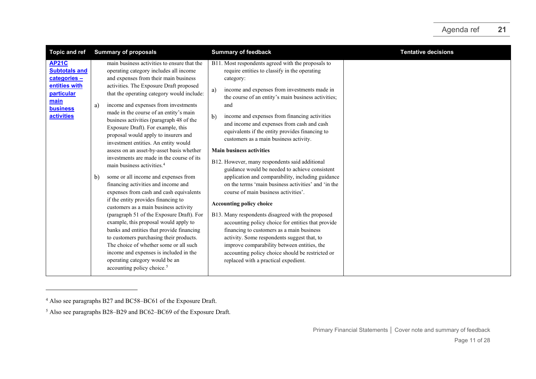<span id="page-10-1"></span><span id="page-10-0"></span>

| <b>Topic and ref</b>                                                                                                                | <b>Summary of proposals</b>                                                                                                                                                                                                                                                                                                                                                                                                                                                                                                                                                                                                                                                                                                                                                                                                                                                                                                                                                                                                                                                                                                                                                         | <b>Summary of feedback</b>                                                                                                                                                                                                                                                                                                                                                                                                                                                                                                                                                                                                                                                                                                                                                                                                                                                                                                                                                                                                                                                                                             | <b>Tentative decisions</b> |
|-------------------------------------------------------------------------------------------------------------------------------------|-------------------------------------------------------------------------------------------------------------------------------------------------------------------------------------------------------------------------------------------------------------------------------------------------------------------------------------------------------------------------------------------------------------------------------------------------------------------------------------------------------------------------------------------------------------------------------------------------------------------------------------------------------------------------------------------------------------------------------------------------------------------------------------------------------------------------------------------------------------------------------------------------------------------------------------------------------------------------------------------------------------------------------------------------------------------------------------------------------------------------------------------------------------------------------------|------------------------------------------------------------------------------------------------------------------------------------------------------------------------------------------------------------------------------------------------------------------------------------------------------------------------------------------------------------------------------------------------------------------------------------------------------------------------------------------------------------------------------------------------------------------------------------------------------------------------------------------------------------------------------------------------------------------------------------------------------------------------------------------------------------------------------------------------------------------------------------------------------------------------------------------------------------------------------------------------------------------------------------------------------------------------------------------------------------------------|----------------------------|
| <b>AP21C</b><br><b>Subtotals and</b><br>categories -<br>entities with<br>particular<br>main<br><b>business</b><br><b>activities</b> | main business activities to ensure that the<br>operating category includes all income<br>and expenses from their main business<br>activities. The Exposure Draft proposed<br>that the operating category would include:<br>income and expenses from investments<br>a)<br>made in the course of an entity's main<br>business activities (paragraph 48 of the<br>Exposure Draft). For example, this<br>proposal would apply to insurers and<br>investment entities. An entity would<br>assess on an asset-by-asset basis whether<br>investments are made in the course of its<br>main business activities. <sup>4</sup><br>some or all income and expenses from<br>b)<br>financing activities and income and<br>expenses from cash and cash equivalents<br>if the entity provides financing to<br>customers as a main business activity<br>(paragraph 51 of the Exposure Draft). For<br>example, this proposal would apply to<br>banks and entities that provide financing<br>to customers purchasing their products.<br>The choice of whether some or all such<br>income and expenses is included in the<br>operating category would be an<br>accounting policy choice. <sup>5</sup> | B11. Most respondents agreed with the proposals to<br>require entities to classify in the operating<br>category:<br>income and expenses from investments made in<br>a)<br>the course of an entity's main business activities;<br>and<br>income and expenses from financing activities<br>b)<br>and income and expenses from cash and cash<br>equivalents if the entity provides financing to<br>customers as a main business activity.<br><b>Main business activities</b><br>B12. However, many respondents said additional<br>guidance would be needed to achieve consistent<br>application and comparability, including guidance<br>on the terms 'main business activities' and 'in the<br>course of main business activities'.<br><b>Accounting policy choice</b><br>B13. Many respondents disagreed with the proposed<br>accounting policy choice for entities that provide<br>financing to customers as a main business<br>activity. Some respondents suggest that, to<br>improve comparability between entities, the<br>accounting policy choice should be restricted or<br>replaced with a practical expedient. |                            |

<sup>4</sup> Also see paragraphs B27 and BC58–BC61 of the Exposure Draft.

<sup>5</sup> Also see paragraphs B28–B29 and BC62–BC69 of the Exposure Draft.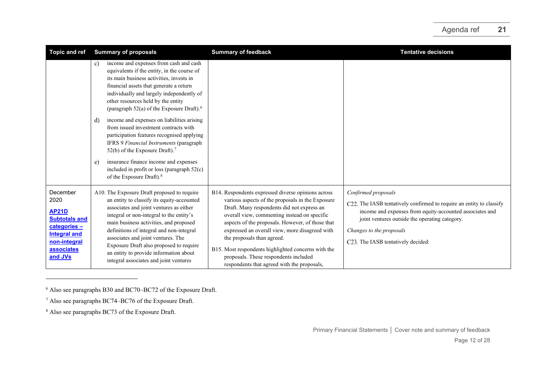<span id="page-11-2"></span><span id="page-11-1"></span><span id="page-11-0"></span>

| <b>Topic and ref</b>                                                                                                                           | <b>Summary of proposals</b>                                                                                                                                                                                                                                                                                                                                                                                                                                                                                                                                                                                                                                                                                  | <b>Summary of feedback</b>                                                                                                                                                                                                                                                                                                                                                                                                                                                              | <b>Tentative decisions</b>                                                                                                                                                                                                                                                  |
|------------------------------------------------------------------------------------------------------------------------------------------------|--------------------------------------------------------------------------------------------------------------------------------------------------------------------------------------------------------------------------------------------------------------------------------------------------------------------------------------------------------------------------------------------------------------------------------------------------------------------------------------------------------------------------------------------------------------------------------------------------------------------------------------------------------------------------------------------------------------|-----------------------------------------------------------------------------------------------------------------------------------------------------------------------------------------------------------------------------------------------------------------------------------------------------------------------------------------------------------------------------------------------------------------------------------------------------------------------------------------|-----------------------------------------------------------------------------------------------------------------------------------------------------------------------------------------------------------------------------------------------------------------------------|
|                                                                                                                                                | income and expenses from cash and cash<br>c)<br>equivalents if the entity, in the course of<br>its main business activities, invests in<br>financial assets that generate a return<br>individually and largely independently of<br>other resources held by the entity<br>(paragraph 52(a) of the Exposure Draft). <sup>6</sup><br>income and expenses on liabilities arising<br>d)<br>from issued investment contracts with<br>participation features recognised applying<br>IFRS 9 Financial Instruments (paragraph<br>52(b) of the Exposure Draft). <sup>7</sup><br>insurance finance income and expenses<br>e)<br>included in profit or loss (paragraph $52(c)$ )<br>of the Exposure Draft). <sup>8</sup> |                                                                                                                                                                                                                                                                                                                                                                                                                                                                                         |                                                                                                                                                                                                                                                                             |
| December<br>2020<br><b>AP21D</b><br><b>Subtotals and</b><br>categories-<br><b>Integral and</b><br>non-integral<br><b>associates</b><br>and JVs | A10. The Exposure Draft proposed to require<br>an entity to classify its equity-accounted<br>associates and joint ventures as either<br>integral or non-integral to the entity's<br>main business activities, and proposed<br>definitions of integral and non-integral<br>associates and joint ventures. The<br>Exposure Draft also proposed to require<br>an entity to provide information about<br>integral associates and joint ventures                                                                                                                                                                                                                                                                  | B14. Respondents expressed diverse opinions across<br>various aspects of the proposals in the Exposure<br>Draft. Many respondents did not express an<br>overall view, commenting instead on specific<br>aspects of the proposals. However, of those that<br>expressed an overall view, more disagreed with<br>the proposals than agreed.<br>B15. Most respondents highlighted concerns with the<br>proposals. These respondents included<br>respondents that agreed with the proposals, | Confirmed proposals<br>C22. The IASB tentatively confirmed to require an entity to classify<br>income and expenses from equity-accounted associates and<br>joint ventures outside the operating category.<br>Changes to the proposals<br>C23. The IASB tentatively decided: |

<sup>6</sup> Also see paragraphs B30 and BC70–BC72 of the Exposure Draft.

<sup>7</sup> Also see paragraphs BC74–BC76 of the Exposure Draft.

<sup>8</sup> Also see paragraphs BC73 of the Exposure Draft.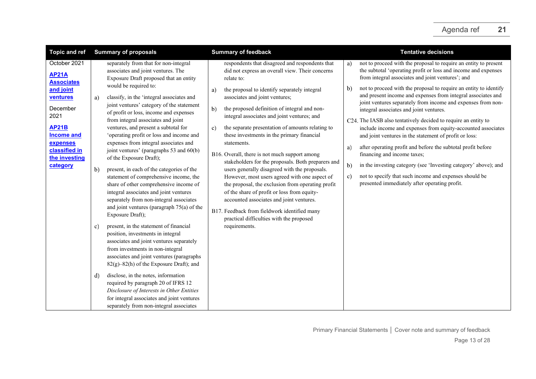| <b>Topic and ref</b>                                                                                                                            | <b>Summary of proposals</b>                                                                                                                                                                                                                                                                                                                                                                                                                                 | <b>Summary of feedback</b>                                                                                                                                                                                                                                                                                                                                                                                                                        | <b>Tentative decisions</b>                                                                                                                                                                                                                                                                                                                                                                                                                                                                                                                                                                                                                                                                                            |
|-------------------------------------------------------------------------------------------------------------------------------------------------|-------------------------------------------------------------------------------------------------------------------------------------------------------------------------------------------------------------------------------------------------------------------------------------------------------------------------------------------------------------------------------------------------------------------------------------------------------------|---------------------------------------------------------------------------------------------------------------------------------------------------------------------------------------------------------------------------------------------------------------------------------------------------------------------------------------------------------------------------------------------------------------------------------------------------|-----------------------------------------------------------------------------------------------------------------------------------------------------------------------------------------------------------------------------------------------------------------------------------------------------------------------------------------------------------------------------------------------------------------------------------------------------------------------------------------------------------------------------------------------------------------------------------------------------------------------------------------------------------------------------------------------------------------------|
| October 2021<br><b>AP21A</b><br><b>Associates</b><br>and joint<br>ventures<br>December<br>2021<br><b>AP21B</b><br><b>Income and</b><br>expenses | separately from that for non-integral<br>associates and joint ventures. The<br>Exposure Draft proposed that an entity<br>would be required to:<br>classify, in the 'integral associates and<br>a)<br>joint ventures' category of the statement<br>of profit or loss, income and expenses<br>from integral associates and joint<br>ventures, and present a subtotal for<br>'operating profit or loss and income and<br>expenses from integral associates and | respondents that disagreed and respondents that<br>did not express an overall view. Their concerns<br>relate to:<br>the proposal to identify separately integral<br>a)<br>associates and joint ventures;<br>the proposed definition of integral and non-<br>b)<br>integral associates and joint ventures; and<br>the separate presentation of amounts relating to<br>C)<br>these investments in the primary financial<br>statements.              | not to proceed with the proposal to require an entity to present<br>a)<br>the subtotal 'operating profit or loss and income and expenses<br>from integral associates and joint ventures'; and<br>not to proceed with the proposal to require an entity to identify<br>b)<br>and present income and expenses from integral associates and<br>joint ventures separately from income and expenses from non-<br>integral associates and joint ventures.<br>C24. The IASB also tentatively decided to require an entity to<br>include income and expenses from equity-accounted associates<br>and joint ventures in the statement of profit or loss:<br>after operating profit and before the subtotal profit before<br>a) |
| classified in<br>the investing<br>category                                                                                                      | joint ventures' (paragraphs 53 and 60(b)<br>of the Exposure Draft);<br>b)<br>present, in each of the categories of the<br>statement of comprehensive income, the<br>share of other comprehensive income of<br>integral associates and joint ventures<br>separately from non-integral associates<br>and joint ventures (paragraph 75(a) of the<br>Exposure Draft);                                                                                           | B16. Overall, there is not much support among<br>stakeholders for the proposals. Both preparers and<br>users generally disagreed with the proposals.<br>However, most users agreed with one aspect of<br>the proposal, the exclusion from operating profit<br>of the share of profit or loss from equity-<br>accounted associates and joint ventures.<br>B17. Feedback from fieldwork identified many<br>practical difficulties with the proposed | financing and income taxes;<br>b)<br>in the investing category (see 'Investing category' above); and<br>not to specify that such income and expenses should be<br>c)<br>presented immediately after operating profit.                                                                                                                                                                                                                                                                                                                                                                                                                                                                                                 |
|                                                                                                                                                 | present, in the statement of financial<br>c)<br>position, investments in integral<br>associates and joint ventures separately<br>from investments in non-integral<br>associates and joint ventures (paragraphs<br>82(g)-82(h) of the Exposure Draft); and                                                                                                                                                                                                   | requirements.                                                                                                                                                                                                                                                                                                                                                                                                                                     |                                                                                                                                                                                                                                                                                                                                                                                                                                                                                                                                                                                                                                                                                                                       |
|                                                                                                                                                 | disclose, in the notes, information<br>d)<br>required by paragraph 20 of IFRS 12<br>Disclosure of Interests in Other Entities<br>for integral associates and joint ventures<br>separately from non-integral associates                                                                                                                                                                                                                                      |                                                                                                                                                                                                                                                                                                                                                                                                                                                   |                                                                                                                                                                                                                                                                                                                                                                                                                                                                                                                                                                                                                                                                                                                       |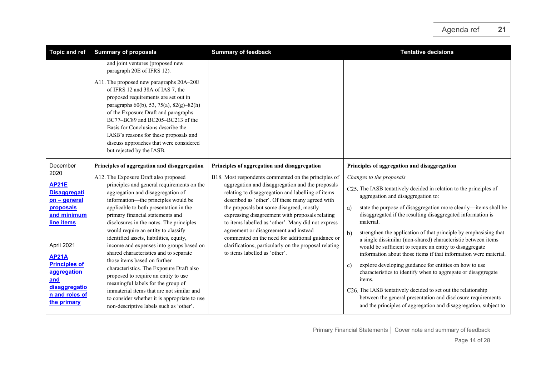| <b>Topic and ref</b>                                       | <b>Summary of proposals</b>                                                                                                                                                                                                                                                                                                                                                                          | <b>Summary of feedback</b>                                                                                                                                                          | <b>Tentative decisions</b>                                                                                                                                                                                                                                              |
|------------------------------------------------------------|------------------------------------------------------------------------------------------------------------------------------------------------------------------------------------------------------------------------------------------------------------------------------------------------------------------------------------------------------------------------------------------------------|-------------------------------------------------------------------------------------------------------------------------------------------------------------------------------------|-------------------------------------------------------------------------------------------------------------------------------------------------------------------------------------------------------------------------------------------------------------------------|
|                                                            | and joint ventures (proposed new<br>paragraph 20E of IFRS 12).                                                                                                                                                                                                                                                                                                                                       |                                                                                                                                                                                     |                                                                                                                                                                                                                                                                         |
|                                                            | A11. The proposed new paragraphs 20A-20E<br>of IFRS 12 and 38A of IAS 7, the<br>proposed requirements are set out in<br>paragraphs 60(b), 53, 75(a), 82(g)-82(h)<br>of the Exposure Draft and paragraphs<br>BC77-BC89 and BC205-BC213 of the<br>Basis for Conclusions describe the<br>IASB's reasons for these proposals and<br>discuss approaches that were considered<br>but rejected by the IASB. |                                                                                                                                                                                     |                                                                                                                                                                                                                                                                         |
| December                                                   | Principles of aggregation and disaggregation                                                                                                                                                                                                                                                                                                                                                         | Principles of aggregation and disaggregation                                                                                                                                        | Principles of aggregation and disaggregation                                                                                                                                                                                                                            |
| 2020<br><b>AP21E</b>                                       | A12. The Exposure Draft also proposed<br>principles and general requirements on the                                                                                                                                                                                                                                                                                                                  | B18. Most respondents commented on the principles of<br>aggregation and disaggregation and the proposals                                                                            | Changes to the proposals                                                                                                                                                                                                                                                |
| <b>Disaggregati</b><br>on - general                        | aggregation and disaggregation of<br>information—the principles would be                                                                                                                                                                                                                                                                                                                             | relating to disaggregation and labelling of items<br>described as 'other'. Of these many agreed with                                                                                | C25. The IASB tentatively decided in relation to the principles of<br>aggregation and disaggregation to:                                                                                                                                                                |
| proposals<br>and minimum<br>line items                     | applicable to both presentation in the<br>primary financial statements and<br>disclosures in the notes. The principles                                                                                                                                                                                                                                                                               | the proposals but some disagreed, mostly<br>expressing disagreement with proposals relating<br>to items labelled as 'other'. Many did not express                                   | state the purpose of disaggregation more clearly-items shall be<br>a)<br>disaggregated if the resulting disaggregated information is<br>material.                                                                                                                       |
| April 2021                                                 | would require an entity to classify<br>identified assets, liabilities, equity,<br>income and expenses into groups based on<br>shared characteristics and to separate                                                                                                                                                                                                                                 | agreement or disagreement and instead<br>commented on the need for additional guidance or<br>clarifications, particularly on the proposal relating<br>to items labelled as 'other'. | b)<br>strengthen the application of that principle by emphasising that<br>a single dissimilar (non-shared) characteristic between items<br>would be sufficient to require an entity to disaggregate<br>information about those items if that information were material. |
| <b>AP21A</b><br><b>Principles of</b><br>aggregation<br>and | those items based on further<br>characteristics. The Exposure Draft also<br>proposed to require an entity to use<br>meaningful labels for the group of                                                                                                                                                                                                                                               |                                                                                                                                                                                     | explore developing guidance for entities on how to use<br>c)<br>characteristics to identify when to aggregate or disaggregate<br>items.                                                                                                                                 |
| disaggregatio<br>n and roles of<br>the primary             | immaterial items that are not similar and<br>to consider whether it is appropriate to use<br>non-descriptive labels such as 'other'.                                                                                                                                                                                                                                                                 |                                                                                                                                                                                     | C26. The IASB tentatively decided to set out the relationship<br>between the general presentation and disclosure requirements<br>and the principles of aggregation and disaggregation, subject to                                                                       |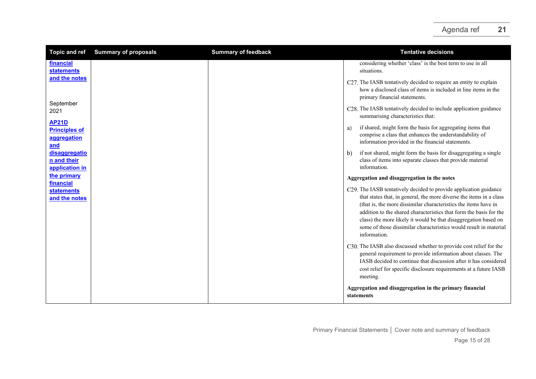| <b>Topic and ref</b>                                       | <b>Summary of proposals</b> | <b>Summary of feedback</b> | <b>Tentative decisions</b>                                                                                                                                                                                                                                                                                                                                                                                                                |
|------------------------------------------------------------|-----------------------------|----------------------------|-------------------------------------------------------------------------------------------------------------------------------------------------------------------------------------------------------------------------------------------------------------------------------------------------------------------------------------------------------------------------------------------------------------------------------------------|
| financial<br><b>statements</b>                             |                             |                            | considering whether 'class' is the best term to use in all<br>situations.                                                                                                                                                                                                                                                                                                                                                                 |
| and the notes                                              |                             |                            | C27. The IASB tentatively decided to require an entity to explain<br>how a disclosed class of items is included in line items in the<br>primary financial statements.                                                                                                                                                                                                                                                                     |
| September<br>2021                                          |                             |                            | C28. The IASB tentatively decided to include application guidance<br>summarising characteristics that:                                                                                                                                                                                                                                                                                                                                    |
| <b>AP21D</b><br><b>Principles of</b><br>aggregation<br>and |                             |                            | if shared, might form the basis for aggregating items that<br>a)<br>comprise a class that enhances the understandability of<br>information provided in the financial statements.                                                                                                                                                                                                                                                          |
| disaggregatio<br>n and their<br>application in             |                             |                            | if not shared, might form the basis for disaggregating a single<br>b)<br>class of items into separate classes that provide material<br>information.                                                                                                                                                                                                                                                                                       |
| the primary<br>financial                                   |                             |                            | Aggregation and disaggregation in the notes                                                                                                                                                                                                                                                                                                                                                                                               |
| <b>statements</b><br>and the notes                         |                             |                            | C29. The IASB tentatively decided to provide application guidance<br>that states that, in general, the more diverse the items in a class<br>(that is, the more dissimilar characteristics the items have in<br>addition to the shared characteristics that form the basis for the<br>class) the more likely it would be that disaggregation based on<br>some of those dissimilar characteristics would result in material<br>information. |
|                                                            |                             |                            | C30. The IASB also discussed whether to provide cost relief for the<br>general requirement to provide information about classes. The<br>IASB decided to continue that discussion after it has considered<br>cost relief for specific disclosure requirements at a future IASB<br>meeting.                                                                                                                                                 |
|                                                            |                             |                            | Aggregation and disaggregation in the primary financial<br>statements                                                                                                                                                                                                                                                                                                                                                                     |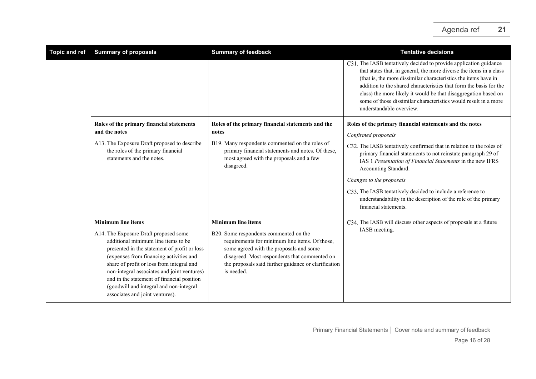| <b>Topic and ref</b> | <b>Summary of proposals</b>                                                                                                                                                                                                                                                                                                                                                                     | <b>Summary of feedback</b>                                                                                                                                                                                                                                 | <b>Tentative decisions</b>                                                                                                                                                                                                                                                                                                                                                                                                                          |
|----------------------|-------------------------------------------------------------------------------------------------------------------------------------------------------------------------------------------------------------------------------------------------------------------------------------------------------------------------------------------------------------------------------------------------|------------------------------------------------------------------------------------------------------------------------------------------------------------------------------------------------------------------------------------------------------------|-----------------------------------------------------------------------------------------------------------------------------------------------------------------------------------------------------------------------------------------------------------------------------------------------------------------------------------------------------------------------------------------------------------------------------------------------------|
|                      |                                                                                                                                                                                                                                                                                                                                                                                                 |                                                                                                                                                                                                                                                            | C31. The IASB tentatively decided to provide application guidance<br>that states that, in general, the more diverse the items in a class<br>(that is, the more dissimilar characteristics the items have in<br>addition to the shared characteristics that form the basis for the<br>class) the more likely it would be that disaggregation based on<br>some of those dissimilar characteristics would result in a more<br>understandable overview. |
|                      | Roles of the primary financial statements<br>and the notes                                                                                                                                                                                                                                                                                                                                      | Roles of the primary financial statements and the<br>notes                                                                                                                                                                                                 | Roles of the primary financial statements and the notes<br>Confirmed proposals                                                                                                                                                                                                                                                                                                                                                                      |
|                      | A13. The Exposure Draft proposed to describe<br>the roles of the primary financial<br>statements and the notes.                                                                                                                                                                                                                                                                                 | B19. Many respondents commented on the roles of<br>primary financial statements and notes. Of these,<br>most agreed with the proposals and a few<br>disagreed.                                                                                             | C32. The IASB tentatively confirmed that in relation to the roles of<br>primary financial statements to not reinstate paragraph 29 of<br>IAS 1 Presentation of Financial Statements in the new IFRS<br>Accounting Standard.                                                                                                                                                                                                                         |
|                      |                                                                                                                                                                                                                                                                                                                                                                                                 |                                                                                                                                                                                                                                                            | Changes to the proposals                                                                                                                                                                                                                                                                                                                                                                                                                            |
|                      |                                                                                                                                                                                                                                                                                                                                                                                                 |                                                                                                                                                                                                                                                            | C33. The IASB tentatively decided to include a reference to<br>understandability in the description of the role of the primary<br>financial statements.                                                                                                                                                                                                                                                                                             |
|                      | <b>Minimum line items</b>                                                                                                                                                                                                                                                                                                                                                                       | <b>Minimum line items</b>                                                                                                                                                                                                                                  | C34. The IASB will discuss other aspects of proposals at a future                                                                                                                                                                                                                                                                                                                                                                                   |
|                      | A14. The Exposure Draft proposed some<br>additional minimum line items to be<br>presented in the statement of profit or loss<br>(expenses from financing activities and<br>share of profit or loss from integral and<br>non-integral associates and joint ventures)<br>and in the statement of financial position<br>(goodwill and integral and non-integral<br>associates and joint ventures). | B20. Some respondents commented on the<br>requirements for minimum line items. Of those,<br>some agreed with the proposals and some<br>disagreed. Most respondents that commented on<br>the proposals said further guidance or clarification<br>is needed. | IASB meeting.                                                                                                                                                                                                                                                                                                                                                                                                                                       |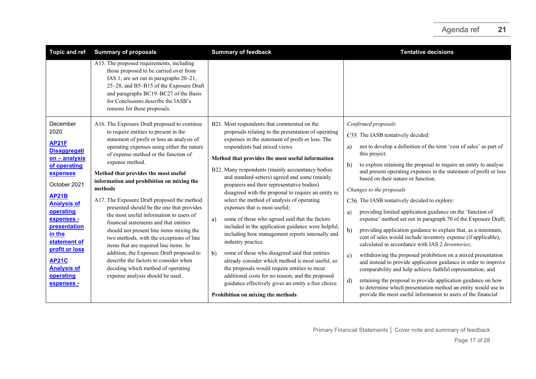| <b>Topic and ref</b>                                                                                                                                                                                                                                              | <b>Summary of proposals</b>                                                                                                                                                                                                                                                                                                                                                                                                                                                                                                                                                                                                                                                                                                                          | <b>Summary of feedback</b>                                                                                                                                                                                                                                                                                                                                                                                                                                                                                                                                                                                                                                                                                                                                                                                                             | <b>Tentative decisions</b>                                                                                                                                                                                                                                                                                                                                                                                                                                                                                                                                                                                                                                                                                                                                                                                                                                                                                      |
|-------------------------------------------------------------------------------------------------------------------------------------------------------------------------------------------------------------------------------------------------------------------|------------------------------------------------------------------------------------------------------------------------------------------------------------------------------------------------------------------------------------------------------------------------------------------------------------------------------------------------------------------------------------------------------------------------------------------------------------------------------------------------------------------------------------------------------------------------------------------------------------------------------------------------------------------------------------------------------------------------------------------------------|----------------------------------------------------------------------------------------------------------------------------------------------------------------------------------------------------------------------------------------------------------------------------------------------------------------------------------------------------------------------------------------------------------------------------------------------------------------------------------------------------------------------------------------------------------------------------------------------------------------------------------------------------------------------------------------------------------------------------------------------------------------------------------------------------------------------------------------|-----------------------------------------------------------------------------------------------------------------------------------------------------------------------------------------------------------------------------------------------------------------------------------------------------------------------------------------------------------------------------------------------------------------------------------------------------------------------------------------------------------------------------------------------------------------------------------------------------------------------------------------------------------------------------------------------------------------------------------------------------------------------------------------------------------------------------------------------------------------------------------------------------------------|
|                                                                                                                                                                                                                                                                   | A15. The proposed requirements, including<br>those proposed to be carried over from<br>IAS 1, are set out in paragraphs 20-21,<br>25-28, and B5-B15 of the Exposure Draft<br>and paragraphs BC19-BC27 of the Basis<br>for Conclusions describe the IASB's<br>reasons for these proposals.                                                                                                                                                                                                                                                                                                                                                                                                                                                            |                                                                                                                                                                                                                                                                                                                                                                                                                                                                                                                                                                                                                                                                                                                                                                                                                                        |                                                                                                                                                                                                                                                                                                                                                                                                                                                                                                                                                                                                                                                                                                                                                                                                                                                                                                                 |
| December<br>2020<br><b>AP21F</b><br><b>Disaggregati</b><br>on - analysis<br>of operating<br>expenses<br>October 2021<br><b>AP21B</b><br><b>Analysis of</b><br>operating<br>expenses -<br>presentation<br>in the<br>statement of<br>profit or loss<br><b>AP21C</b> | A16. The Exposure Draft proposed to continue<br>to require entities to present in the<br>statement of profit or loss an analysis of<br>operating expenses using either the nature<br>of expense method or the function of<br>expense method.<br>Method that provides the most useful<br>information and prohibition on mixing the<br>methods<br>A17. The Exposure Draft proposed the method<br>presented should be the one that provides<br>the most useful information to users of<br>financial statements and that entities<br>should not present line items mixing the<br>two methods, with the exceptions of line<br>items that are required line items. In<br>addition, the Exposure Draft proposed to<br>describe the factors to consider when | B21. Most respondents that commented on the<br>proposals relating to the presentation of operating<br>expenses in the statement of profit or loss. The<br>respondents had mixed views.<br>Method that provides the most useful information<br>B22. Many respondents (mainly accountancy bodies<br>and standard-setters) agreed and some (mainly<br>preparers and their representative bodies)<br>disagreed with the proposal to require an entity to<br>select the method of analysis of operating<br>expenses that is most useful;<br>some of those who agreed said that the factors<br>a)<br>included in the application guidance were helpful,<br>including how management reports internally and<br>industry practice.<br>some of those who disagreed said that entities<br>b)<br>already consider which method is most useful, so | Confirmed proposals<br>C35. The IASB tentatively decided:<br>not to develop a definition of the term 'cost of sales' as part of<br>a)<br>this project.<br>to explore retaining the proposal to require an entity to analyse<br>b)<br>and present operating expenses in the statement of profit or loss<br>based on their nature or function.<br>Changes to the proposals<br>C36. The IASB tentatively decided to explore:<br>providing limited application guidance on the 'function of<br>a)<br>expense' method set out in paragraph 70 of the Exposure Draft;<br>b)<br>providing application guidance to explain that, as a minimum,<br>cost of sales would include inventory expense (if applicable),<br>calculated in accordance with IAS 2 Inventories;<br>withdrawing the proposed prohibition on a mixed presentation<br>$\mathbf{c}$<br>and instead to provide application guidance in order to improve |
| <b>Analysis of</b><br>operating<br>expenses -                                                                                                                                                                                                                     | deciding which method of operating<br>expense analysis should be used.                                                                                                                                                                                                                                                                                                                                                                                                                                                                                                                                                                                                                                                                               | the proposals would require entities to incur<br>additional costs for no reason, and the proposed<br>guidance effectively gives an entity a free choice.<br>Prohibition on mixing the methods                                                                                                                                                                                                                                                                                                                                                                                                                                                                                                                                                                                                                                          | comparability and help achieve faithful representation; and<br>retaining the proposal to provide application guidance on how<br>d)<br>to determine which presentation method an entity would use to<br>provide the most useful information to users of the financial                                                                                                                                                                                                                                                                                                                                                                                                                                                                                                                                                                                                                                            |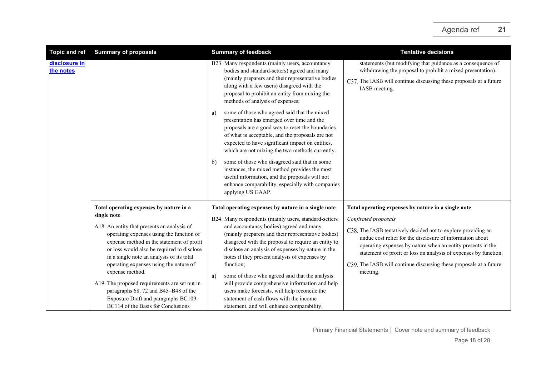| <b>Topic and ref</b>       | <b>Summary of proposals</b>                                                                                                                                                                                                                                                                                                                                                                                                                     | <b>Summary of feedback</b>                                                                                                                                                                                                                                                                                                                                                                                                                                                                                                                                   | <b>Tentative decisions</b>                                                                                                                                                                                                                                                                                                                                                                                                    |
|----------------------------|-------------------------------------------------------------------------------------------------------------------------------------------------------------------------------------------------------------------------------------------------------------------------------------------------------------------------------------------------------------------------------------------------------------------------------------------------|--------------------------------------------------------------------------------------------------------------------------------------------------------------------------------------------------------------------------------------------------------------------------------------------------------------------------------------------------------------------------------------------------------------------------------------------------------------------------------------------------------------------------------------------------------------|-------------------------------------------------------------------------------------------------------------------------------------------------------------------------------------------------------------------------------------------------------------------------------------------------------------------------------------------------------------------------------------------------------------------------------|
| disclosure in<br>the notes |                                                                                                                                                                                                                                                                                                                                                                                                                                                 | B23. Many respondents (mainly users, accountancy<br>bodies and standard-setters) agreed and many<br>(mainly preparers and their representative bodies<br>along with a few users) disagreed with the<br>proposal to prohibit an entity from mixing the<br>methods of analysis of expenses;                                                                                                                                                                                                                                                                    | statements (but modifying that guidance as a consequence of<br>withdrawing the proposal to prohibit a mixed presentation).<br>C37. The IASB will continue discussing these proposals at a future<br>IASB meeting.                                                                                                                                                                                                             |
|                            |                                                                                                                                                                                                                                                                                                                                                                                                                                                 | some of those who agreed said that the mixed<br>a)<br>presentation has emerged over time and the<br>proposals are a good way to reset the boundaries<br>of what is acceptable, and the proposals are not<br>expected to have significant impact on entities,<br>which are not mixing the two methods currently.<br>some of those who disagreed said that in some<br>$\mathbf{b}$<br>instances, the mixed method provides the most<br>useful information, and the proposals will not<br>enhance comparability, especially with companies<br>applying US GAAP. |                                                                                                                                                                                                                                                                                                                                                                                                                               |
|                            | Total operating expenses by nature in a<br>single note<br>A18. An entity that presents an analysis of<br>operating expenses using the function of<br>expense method in the statement of profit<br>or loss would also be required to disclose<br>in a single note an analysis of its total<br>operating expenses using the nature of<br>expense method.<br>A19. The proposed requirements are set out in<br>paragraphs 68, 72 and B45–B48 of the | Total operating expenses by nature in a single note<br>B24. Many respondents (mainly users, standard-setters<br>and accountancy bodies) agreed and many<br>(mainly preparers and their representative bodies)<br>disagreed with the proposal to require an entity to<br>disclose an analysis of expenses by nature in the<br>notes if they present analysis of expenses by<br>function;<br>some of those who agreed said that the analysis:<br>a)<br>will provide comprehensive information and help<br>users make forecasts, will help reconcile the        | Total operating expenses by nature in a single note<br>Confirmed proposals<br>C38. The IASB tentatively decided not to explore providing an<br>undue cost relief for the disclosure of information about<br>operating expenses by nature when an entity presents in the<br>statement of profit or loss an analysis of expenses by function.<br>C39. The IASB will continue discussing these proposals at a future<br>meeting. |
|                            | Exposure Draft and paragraphs BC109-<br>BC114 of the Basis for Conclusions                                                                                                                                                                                                                                                                                                                                                                      | statement of cash flows with the income<br>statement, and will enhance comparability,                                                                                                                                                                                                                                                                                                                                                                                                                                                                        |                                                                                                                                                                                                                                                                                                                                                                                                                               |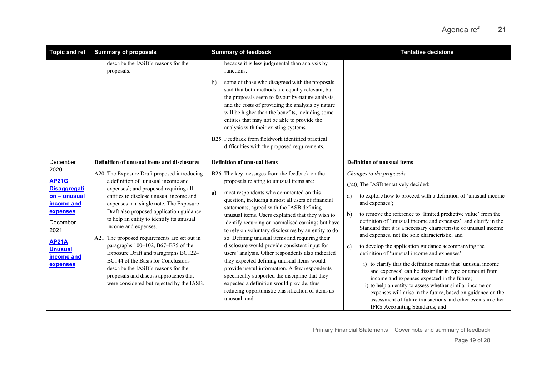| Topic and ref                                                                                                                                                                     | <b>Summary of proposals</b>                                                                                                                                                                                                                                                                                                                                                                                                                                                                                                                                                                                                                                                          | <b>Summary of feedback</b>                                                                                                                                                                                                                                                                                                                                                                                                                                                                                                                                                                                                                                                                                                                                                                                                                                               | <b>Tentative decisions</b>                                                                                                                                                                                                                                                                                                                                                                                                                                                                                                                                                                                                                                                                                                                                                                                                                                                                                                                                                          |
|-----------------------------------------------------------------------------------------------------------------------------------------------------------------------------------|--------------------------------------------------------------------------------------------------------------------------------------------------------------------------------------------------------------------------------------------------------------------------------------------------------------------------------------------------------------------------------------------------------------------------------------------------------------------------------------------------------------------------------------------------------------------------------------------------------------------------------------------------------------------------------------|--------------------------------------------------------------------------------------------------------------------------------------------------------------------------------------------------------------------------------------------------------------------------------------------------------------------------------------------------------------------------------------------------------------------------------------------------------------------------------------------------------------------------------------------------------------------------------------------------------------------------------------------------------------------------------------------------------------------------------------------------------------------------------------------------------------------------------------------------------------------------|-------------------------------------------------------------------------------------------------------------------------------------------------------------------------------------------------------------------------------------------------------------------------------------------------------------------------------------------------------------------------------------------------------------------------------------------------------------------------------------------------------------------------------------------------------------------------------------------------------------------------------------------------------------------------------------------------------------------------------------------------------------------------------------------------------------------------------------------------------------------------------------------------------------------------------------------------------------------------------------|
|                                                                                                                                                                                   | describe the IASB's reasons for the<br>proposals.                                                                                                                                                                                                                                                                                                                                                                                                                                                                                                                                                                                                                                    | because it is less judgmental than analysis by<br>functions.<br>some of those who disagreed with the proposals<br>b)<br>said that both methods are equally relevant, but<br>the proposals seem to favour by-nature analysis,<br>and the costs of providing the analysis by nature<br>will be higher than the benefits, including some<br>entities that may not be able to provide the<br>analysis with their existing systems.<br>B25. Feedback from fieldwork identified practical<br>difficulties with the proposed requirements.                                                                                                                                                                                                                                                                                                                                      |                                                                                                                                                                                                                                                                                                                                                                                                                                                                                                                                                                                                                                                                                                                                                                                                                                                                                                                                                                                     |
| December<br>2020<br><b>AP21G</b><br><b>Disaggregati</b><br>on - unusual<br>income and<br>expenses<br>December<br>2021<br><b>AP21A</b><br><b>Unusual</b><br>income and<br>expenses | Definition of unusual items and disclosures<br>A20. The Exposure Draft proposed introducing<br>a definition of 'unusual income and<br>expenses'; and proposed requiring all<br>entities to disclose unusual income and<br>expenses in a single note. The Exposure<br>Draft also proposed application guidance<br>to help an entity to identify its unusual<br>income and expenses.<br>A21. The proposed requirements are set out in<br>paragraphs 100-102, B67-B75 of the<br>Exposure Draft and paragraphs BC122-<br>BC144 of the Basis for Conclusions<br>describe the IASB's reasons for the<br>proposals and discuss approaches that<br>were considered but rejected by the IASB. | Definition of unusual items<br>B26. The key messages from the feedback on the<br>proposals relating to unusual items are:<br>most respondents who commented on this<br>a)<br>question, including almost all users of financial<br>statements, agreed with the IASB defining<br>unusual items. Users explained that they wish to<br>identify recurring or normalised earnings but have<br>to rely on voluntary disclosures by an entity to do<br>so. Defining unusual items and requiring their<br>disclosure would provide consistent input for<br>users' analysis. Other respondents also indicated<br>they expected defining unusual items would<br>provide useful information. A few respondents<br>specifically supported the discipline that they<br>expected a definition would provide, thus<br>reducing opportunistic classification of items as<br>unusual; and | <b>Definition of unusual items</b><br>Changes to the proposals<br>C40. The IASB tentatively decided:<br>to explore how to proceed with a definition of 'unusual income<br>a)<br>and expenses';<br>to remove the reference to 'limited predictive value' from the<br>b)<br>definition of 'unusual income and expenses', and clarify in the<br>Standard that it is a necessary characteristic of unusual income<br>and expenses, not the sole characteristic; and<br>to develop the application guidance accompanying the<br>c)<br>definition of 'unusual income and expenses':<br>i) to clarify that the definition means that 'unusual income<br>and expenses' can be dissimilar in type or amount from<br>income and expenses expected in the future;<br>ii) to help an entity to assess whether similar income or<br>expenses will arise in the future, based on guidance on the<br>assessment of future transactions and other events in other<br>IFRS Accounting Standards; and |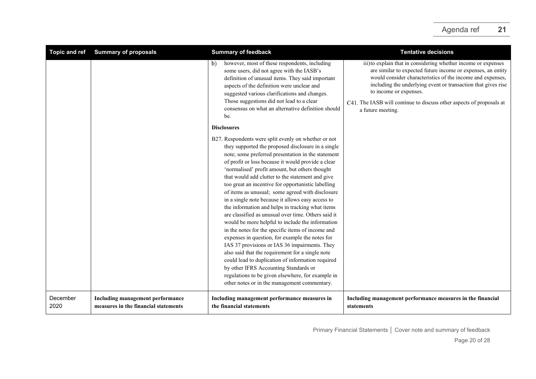# Agenda ref **21**

| <b>Topic and ref</b> | <b>Summary of proposals</b>                                              | <b>Summary of feedback</b>                                                                                                                                                                                                                                                                                                                                                                                                                                                                                                                                                                                                                                                                                                                                                                                                                                                                                                                                                                                                                                                                                                                                                                                                                                                                                                                                             | <b>Tentative decisions</b>                                                                                                                                                                                                                                                                                                                                                           |
|----------------------|--------------------------------------------------------------------------|------------------------------------------------------------------------------------------------------------------------------------------------------------------------------------------------------------------------------------------------------------------------------------------------------------------------------------------------------------------------------------------------------------------------------------------------------------------------------------------------------------------------------------------------------------------------------------------------------------------------------------------------------------------------------------------------------------------------------------------------------------------------------------------------------------------------------------------------------------------------------------------------------------------------------------------------------------------------------------------------------------------------------------------------------------------------------------------------------------------------------------------------------------------------------------------------------------------------------------------------------------------------------------------------------------------------------------------------------------------------|--------------------------------------------------------------------------------------------------------------------------------------------------------------------------------------------------------------------------------------------------------------------------------------------------------------------------------------------------------------------------------------|
|                      |                                                                          | however, most of these respondents, including<br>$\mathbf{b}$<br>some users, did not agree with the IASB's<br>definition of unusual items. They said important<br>aspects of the definition were unclear and<br>suggested various clarifications and changes.<br>Those suggestions did not lead to a clear<br>consensus on what an alternative definition should<br>be.<br><b>Disclosures</b><br>B27. Respondents were split evenly on whether or not<br>they supported the proposed disclosure in a single<br>note; some preferred presentation in the statement<br>of profit or loss because it would provide a clear<br>'normalised' profit amount, but others thought<br>that would add clutter to the statement and give<br>too great an incentive for opportunistic labelling<br>of items as unusual; some agreed with disclosure<br>in a single note because it allows easy access to<br>the information and helps in tracking what items<br>are classified as unusual over time. Others said it<br>would be more helpful to include the information<br>in the notes for the specific items of income and<br>expenses in question, for example the notes for<br>IAS 37 provisions or IAS 36 impairments. They<br>also said that the requirement for a single note<br>could lead to duplication of information required<br>by other IFRS Accounting Standards or | iii) to explain that in considering whether income or expenses<br>are similar to expected future income or expenses, an entity<br>would consider characteristics of the income and expenses,<br>including the underlying event or transaction that gives rise<br>to income or expenses.<br>C41. The IASB will continue to discuss other aspects of proposals at<br>a future meeting. |
|                      |                                                                          | regulations to be given elsewhere, for example in<br>other notes or in the management commentary.                                                                                                                                                                                                                                                                                                                                                                                                                                                                                                                                                                                                                                                                                                                                                                                                                                                                                                                                                                                                                                                                                                                                                                                                                                                                      |                                                                                                                                                                                                                                                                                                                                                                                      |
| December<br>2020     | Including management performance<br>measures in the financial statements | Including management performance measures in<br>the financial statements                                                                                                                                                                                                                                                                                                                                                                                                                                                                                                                                                                                                                                                                                                                                                                                                                                                                                                                                                                                                                                                                                                                                                                                                                                                                                               | Including management performance measures in the financial<br>statements                                                                                                                                                                                                                                                                                                             |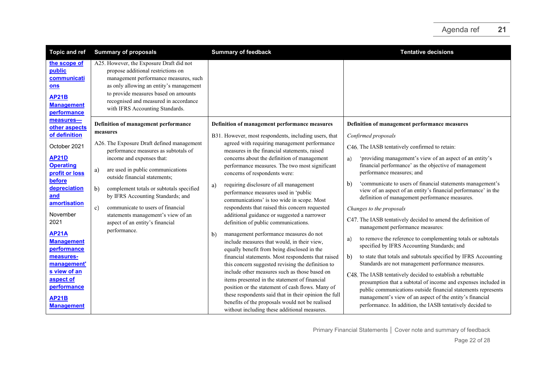| Definition of management performance measures<br>C46. The IASB tentatively confirmed to retain:<br>'providing management's view of an aspect of an entity's<br>financial performance' as the objective of management<br>'communicate to users of financial statements management's<br>view of an aspect of an entity's financial performance' in the<br>definition of management performance measures.<br>C47. The IASB tentatively decided to amend the definition of<br>management performance measures:<br>to remove the reference to complementing totals or subtotals<br>specified by IFRS Accounting Standards; and<br>to state that totals and subtotals specified by IFRS Accounting<br>Standards are not management performance measures.<br>C48. The IASB tentatively decided to establish a rebuttable<br>presumption that a subtotal of income and expenses included in<br>public communications outside financial statements represents<br>management's view of an aspect of the entity's financial |
|------------------------------------------------------------------------------------------------------------------------------------------------------------------------------------------------------------------------------------------------------------------------------------------------------------------------------------------------------------------------------------------------------------------------------------------------------------------------------------------------------------------------------------------------------------------------------------------------------------------------------------------------------------------------------------------------------------------------------------------------------------------------------------------------------------------------------------------------------------------------------------------------------------------------------------------------------------------------------------------------------------------|
| performance. In addition, the IASB tentatively decided to                                                                                                                                                                                                                                                                                                                                                                                                                                                                                                                                                                                                                                                                                                                                                                                                                                                                                                                                                        |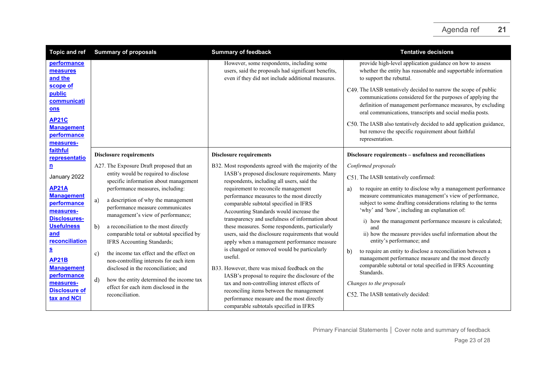<span id="page-22-2"></span><span id="page-22-1"></span><span id="page-22-0"></span>

| <b>Topic and ref</b>                                                                                                                                                                                                                                 | <b>Summary of proposals</b>                                                                                                                                                                                                                                                                                                                                                                                                                                                                                                                       | <b>Summary of feedback</b>                                                                                                                                                                                                                                                                                                                                                                                                                                                                                                                                                                                                                                                                             | <b>Tentative decisions</b>                                                                                                                                                                                                                                                                                                                                                                                                                                                                                                                                                                                                                                                          |
|------------------------------------------------------------------------------------------------------------------------------------------------------------------------------------------------------------------------------------------------------|---------------------------------------------------------------------------------------------------------------------------------------------------------------------------------------------------------------------------------------------------------------------------------------------------------------------------------------------------------------------------------------------------------------------------------------------------------------------------------------------------------------------------------------------------|--------------------------------------------------------------------------------------------------------------------------------------------------------------------------------------------------------------------------------------------------------------------------------------------------------------------------------------------------------------------------------------------------------------------------------------------------------------------------------------------------------------------------------------------------------------------------------------------------------------------------------------------------------------------------------------------------------|-------------------------------------------------------------------------------------------------------------------------------------------------------------------------------------------------------------------------------------------------------------------------------------------------------------------------------------------------------------------------------------------------------------------------------------------------------------------------------------------------------------------------------------------------------------------------------------------------------------------------------------------------------------------------------------|
| performance<br>measures<br>and the                                                                                                                                                                                                                   |                                                                                                                                                                                                                                                                                                                                                                                                                                                                                                                                                   | However, some respondents, including some<br>users, said the proposals had significant benefits,<br>even if they did not include additional measures.                                                                                                                                                                                                                                                                                                                                                                                                                                                                                                                                                  | provide high-level application guidance on how to assess<br>whether the entity has reasonable and supportable information<br>to support the rebuttal.                                                                                                                                                                                                                                                                                                                                                                                                                                                                                                                               |
| scope of<br>public<br>communicati<br>ons<br><b>AP21C</b><br><b>Management</b><br>performance<br>measures-                                                                                                                                            |                                                                                                                                                                                                                                                                                                                                                                                                                                                                                                                                                   |                                                                                                                                                                                                                                                                                                                                                                                                                                                                                                                                                                                                                                                                                                        | C49. The IASB tentatively decided to narrow the scope of public<br>communications considered for the purposes of applying the<br>definition of management performance measures, by excluding<br>oral communications, transcripts and social media posts.<br>C50. The IASB also tentatively decided to add application guidance,<br>but remove the specific requirement about faithful<br>representation.                                                                                                                                                                                                                                                                            |
| faithful<br>representatio                                                                                                                                                                                                                            | <b>Disclosure requirements</b>                                                                                                                                                                                                                                                                                                                                                                                                                                                                                                                    | <b>Disclosure requirements</b>                                                                                                                                                                                                                                                                                                                                                                                                                                                                                                                                                                                                                                                                         | Disclosure requirements - usefulness and reconciliations                                                                                                                                                                                                                                                                                                                                                                                                                                                                                                                                                                                                                            |
| <u>n</u><br>January 2022<br><b>AP21A</b><br><b>Management</b><br><b>performance</b><br>measures-<br><b>Disclosures-</b><br><b>Usefulness</b><br>and<br>reconciliation<br>$\overline{\mathbf{s}}$<br><b>AP21B</b><br><b>Management</b><br>performance | A27. The Exposure Draft proposed that an<br>entity would be required to disclose<br>specific information about management<br>performance measures, including:<br>a description of why the management<br>a)<br>performance measure communicates<br>management's view of performance;<br>b)<br>a reconciliation to the most directly<br>comparable total or subtotal specified by<br>IFRS Accounting Standards;<br>the income tax effect and the effect on<br>c)<br>non-controlling interests for each item<br>disclosed in the reconciliation; and | B32. Most respondents agreed with the majority of the<br>IASB's proposed disclosure requirements. Many<br>respondents, including all users, said the<br>requirement to reconcile management<br>performance measures to the most directly<br>comparable subtotal specified in IFRS<br>Accounting Standards would increase the<br>transparency and usefulness of information about<br>these measures. Some respondents, particularly<br>users, said the disclosure requirements that would<br>apply when a management performance measure<br>is changed or removed would be particularly<br>useful.<br>B33. However, there was mixed feedback on the<br>IASB's proposal to require the disclosure of the | Confirmed proposals<br>C51. The IASB tentatively confirmed:<br>to require an entity to disclose why a management performance<br>a)<br>measure communicates management's view of performance,<br>subject to some drafting considerations relating to the terms<br>'why' and 'how', including an explanation of:<br>i) how the management performance measure is calculated;<br>and<br>ii) how the measure provides useful information about the<br>entity's performance; and<br>to require an entity to disclose a reconciliation between a<br>b)<br>management performance measure and the most directly<br>comparable subtotal or total specified in IFRS Accounting<br>Standards. |
| measures-<br><b>Disclosure of</b><br>tax and NCI                                                                                                                                                                                                     | d)<br>how the entity determined the income tax<br>effect for each item disclosed in the<br>reconciliation.                                                                                                                                                                                                                                                                                                                                                                                                                                        | tax and non-controlling interest effects of<br>reconciling items between the management<br>performance measure and the most directly<br>comparable subtotals specified in IFRS                                                                                                                                                                                                                                                                                                                                                                                                                                                                                                                         | Changes to the proposals<br>C52. The IASB tentatively decided:                                                                                                                                                                                                                                                                                                                                                                                                                                                                                                                                                                                                                      |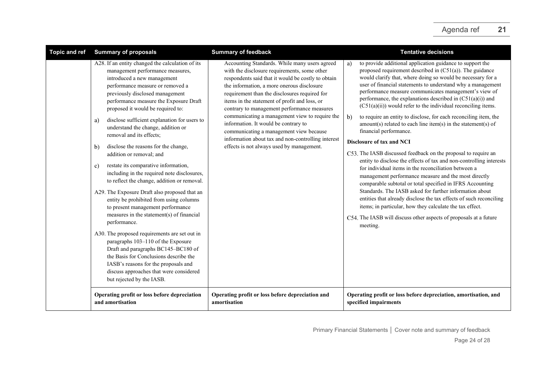| <b>Topic and ref</b> | <b>Summary of proposals</b>                                                                                                                                                                                                                                                                                                                                                                                                                                                                                                                                                                                                                                                                                                                                                                                                                                                                                                                                                                                                                                                                                   | <b>Summary of feedback</b>                                                                                                                                                                                                                                                                                                                                                                                                                                                                                                                                                                 | <b>Tentative decisions</b>                                                                                                                                                                                                                                                                                                                                                                                                                                                                                                                                                                                                                                                                                                                                                                                                                                                                                                                                                                                                                                                                                                                                                                                                                                              |
|----------------------|---------------------------------------------------------------------------------------------------------------------------------------------------------------------------------------------------------------------------------------------------------------------------------------------------------------------------------------------------------------------------------------------------------------------------------------------------------------------------------------------------------------------------------------------------------------------------------------------------------------------------------------------------------------------------------------------------------------------------------------------------------------------------------------------------------------------------------------------------------------------------------------------------------------------------------------------------------------------------------------------------------------------------------------------------------------------------------------------------------------|--------------------------------------------------------------------------------------------------------------------------------------------------------------------------------------------------------------------------------------------------------------------------------------------------------------------------------------------------------------------------------------------------------------------------------------------------------------------------------------------------------------------------------------------------------------------------------------------|-------------------------------------------------------------------------------------------------------------------------------------------------------------------------------------------------------------------------------------------------------------------------------------------------------------------------------------------------------------------------------------------------------------------------------------------------------------------------------------------------------------------------------------------------------------------------------------------------------------------------------------------------------------------------------------------------------------------------------------------------------------------------------------------------------------------------------------------------------------------------------------------------------------------------------------------------------------------------------------------------------------------------------------------------------------------------------------------------------------------------------------------------------------------------------------------------------------------------------------------------------------------------|
|                      | A28. If an entity changed the calculation of its<br>management performance measures,<br>introduced a new management<br>performance measure or removed a<br>previously disclosed management<br>performance measure the Exposure Draft<br>proposed it would be required to:<br>disclose sufficient explanation for users to<br>a)<br>understand the change, addition or<br>removal and its effects;<br>disclose the reasons for the change,<br>b)<br>addition or removal; and<br>restate its comparative information,<br>C)<br>including in the required note disclosures,<br>to reflect the change, addition or removal.<br>A29. The Exposure Draft also proposed that an<br>entity be prohibited from using columns<br>to present management performance<br>measures in the statement(s) of financial<br>performance.<br>A30. The proposed requirements are set out in<br>paragraphs 103-110 of the Exposure<br>Draft and paragraphs BC145-BC180 of<br>the Basis for Conclusions describe the<br>IASB's reasons for the proposals and<br>discuss approaches that were considered<br>but rejected by the IASB. | Accounting Standards. While many users agreed<br>with the disclosure requirements, some other<br>respondents said that it would be costly to obtain<br>the information, a more onerous disclosure<br>requirement than the disclosures required for<br>items in the statement of profit and loss, or<br>contrary to management performance measures<br>communicating a management view to require the<br>information. It would be contrary to<br>communicating a management view because<br>information about tax and non-controlling interest<br>effects is not always used by management. | to provide additional application guidance to support the<br>a)<br>proposed requirement described in $(C51(a))$ . The guidance<br>would clarify that, where doing so would be necessary for a<br>user of financial statements to understand why a management<br>performance measure communicates management's view of<br>performance, the explanations described in $(C51(a)(i))$ and<br>$(C51(a)(ii))$ would refer to the individual reconciling items.<br>to require an entity to disclose, for each reconciling item, the<br>b)<br>$amount(s)$ related to each line item(s) in the statement(s) of<br>financial performance.<br><b>Disclosure of tax and NCI</b><br>C53. The IASB discussed feedback on the proposal to require an<br>entity to disclose the effects of tax and non-controlling interests<br>for individual items in the reconciliation between a<br>management performance measure and the most directly<br>comparable subtotal or total specified in IFRS Accounting<br>Standards. The IASB asked for further information about<br>entities that already disclose the tax effects of such reconciling<br>items; in particular, how they calculate the tax effect.<br>C54. The IASB will discuss other aspects of proposals at a future<br>meeting. |
|                      | Operating profit or loss before depreciation<br>and amortisation                                                                                                                                                                                                                                                                                                                                                                                                                                                                                                                                                                                                                                                                                                                                                                                                                                                                                                                                                                                                                                              | Operating profit or loss before depreciation and<br>amortisation                                                                                                                                                                                                                                                                                                                                                                                                                                                                                                                           | Operating profit or loss before depreciation, amortisation, and<br>specified impairments                                                                                                                                                                                                                                                                                                                                                                                                                                                                                                                                                                                                                                                                                                                                                                                                                                                                                                                                                                                                                                                                                                                                                                                |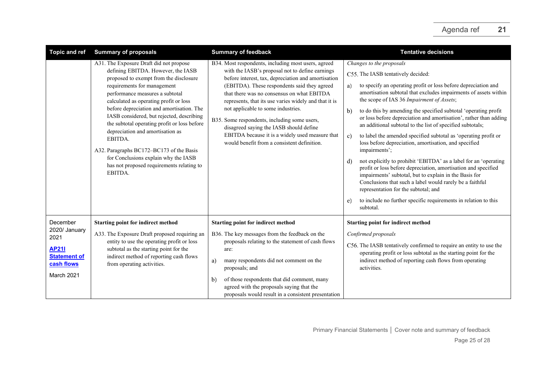| <b>Topic and ref</b>                                                                                 | <b>Summary of proposals</b>                                                                                                                                                                                                                                                                                                                                                                                                                                                                                                                                              | <b>Summary of feedback</b>                                                                                                                                                                                                                                                                                                                                                                                                                                                                                                                              | <b>Tentative decisions</b>                                                                                                                                                                                                                                                                                                                                                                                                                                                                                                                                                                                                                                                                                                                                                                                                                                                                                                                                                                                             |
|------------------------------------------------------------------------------------------------------|--------------------------------------------------------------------------------------------------------------------------------------------------------------------------------------------------------------------------------------------------------------------------------------------------------------------------------------------------------------------------------------------------------------------------------------------------------------------------------------------------------------------------------------------------------------------------|---------------------------------------------------------------------------------------------------------------------------------------------------------------------------------------------------------------------------------------------------------------------------------------------------------------------------------------------------------------------------------------------------------------------------------------------------------------------------------------------------------------------------------------------------------|------------------------------------------------------------------------------------------------------------------------------------------------------------------------------------------------------------------------------------------------------------------------------------------------------------------------------------------------------------------------------------------------------------------------------------------------------------------------------------------------------------------------------------------------------------------------------------------------------------------------------------------------------------------------------------------------------------------------------------------------------------------------------------------------------------------------------------------------------------------------------------------------------------------------------------------------------------------------------------------------------------------------|
|                                                                                                      | A31. The Exposure Draft did not propose<br>defining EBITDA. However, the IASB<br>proposed to exempt from the disclosure<br>requirements for management<br>performance measures a subtotal<br>calculated as operating profit or loss<br>before depreciation and amortisation. The<br>IASB considered, but rejected, describing<br>the subtotal operating profit or loss before<br>depreciation and amortisation as<br>EBITDA.<br>A32. Paragraphs BC172-BC173 of the Basis<br>for Conclusions explain why the IASB<br>has not proposed requirements relating to<br>EBITDA. | B34. Most respondents, including most users, agreed<br>with the IASB's proposal not to define earnings<br>before interest, tax, depreciation and amortisation<br>(EBITDA). These respondents said they agreed<br>that there was no consensus on what EBITDA<br>represents, that its use varies widely and that it is<br>not applicable to some industries.<br>B35. Some respondents, including some users,<br>disagreed saying the IASB should define<br>EBITDA because it is a widely used measure that<br>would benefit from a consistent definition. | Changes to the proposals<br>C55. The IASB tentatively decided:<br>to specify an operating profit or loss before depreciation and<br>a)<br>amortisation subtotal that excludes impairments of assets within<br>the scope of IAS 36 Impairment of Assets;<br>to do this by amending the specified subtotal 'operating profit<br>b)<br>or loss before depreciation and amortisation', rather than adding<br>an additional subtotal to the list of specified subtotals;<br>to label the amended specified subtotal as 'operating profit or<br>c)<br>loss before depreciation, amortisation, and specified<br>impairments';<br>not explicitly to prohibit 'EBITDA' as a label for an 'operating<br>d)<br>profit or loss before depreciation, amortisation and specified<br>impairments' subtotal, but to explain in the Basis for<br>Conclusions that such a label would rarely be a faithful<br>representation for the subtotal; and<br>to include no further specific requirements in relation to this<br>e)<br>subtotal. |
| December<br>2020/ January<br>2021<br><b>AP211</b><br><b>Statement of</b><br>cash flows<br>March 2021 | <b>Starting point for indirect method</b><br>A33. The Exposure Draft proposed requiring an<br>entity to use the operating profit or loss<br>subtotal as the starting point for the<br>indirect method of reporting cash flows<br>from operating activities.                                                                                                                                                                                                                                                                                                              | <b>Starting point for indirect method</b><br>B36. The key messages from the feedback on the<br>proposals relating to the statement of cash flows<br>are:<br>many respondents did not comment on the<br>a)<br>proposals; and<br>of those respondents that did comment, many<br>b)<br>agreed with the proposals saying that the<br>proposals would result in a consistent presentation                                                                                                                                                                    | <b>Starting point for indirect method</b><br>Confirmed proposals<br>C56. The IASB tentatively confirmed to require an entity to use the<br>operating profit or loss subtotal as the starting point for the<br>indirect method of reporting cash flows from operating<br>activities.                                                                                                                                                                                                                                                                                                                                                                                                                                                                                                                                                                                                                                                                                                                                    |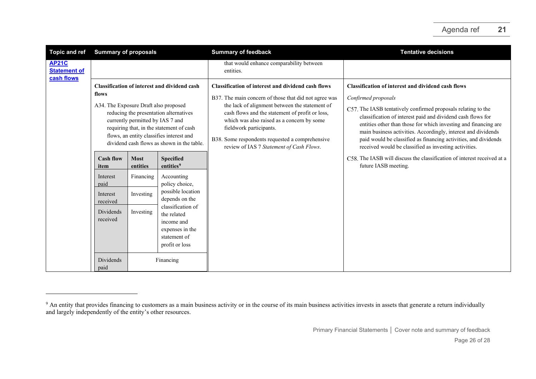<span id="page-25-0"></span>

| <b>Topic and ref</b>                              | <b>Summary of proposals</b>                                                                                                                                                                                                                                                                                               |                         |                                                                                                     | <b>Summary of feedback</b>                                                                                                                                                                                                                                                                                                                                                                      | <b>Tentative decisions</b>                                                                                                                                                                                                                                                                                                                                                                                                                                                       |
|---------------------------------------------------|---------------------------------------------------------------------------------------------------------------------------------------------------------------------------------------------------------------------------------------------------------------------------------------------------------------------------|-------------------------|-----------------------------------------------------------------------------------------------------|-------------------------------------------------------------------------------------------------------------------------------------------------------------------------------------------------------------------------------------------------------------------------------------------------------------------------------------------------------------------------------------------------|----------------------------------------------------------------------------------------------------------------------------------------------------------------------------------------------------------------------------------------------------------------------------------------------------------------------------------------------------------------------------------------------------------------------------------------------------------------------------------|
| <b>AP21C</b><br><b>Statement of</b><br>cash flows |                                                                                                                                                                                                                                                                                                                           |                         |                                                                                                     | that would enhance comparability between<br>entities.                                                                                                                                                                                                                                                                                                                                           |                                                                                                                                                                                                                                                                                                                                                                                                                                                                                  |
|                                                   | <b>Classification of interest and dividend cash</b><br>flows<br>A34. The Exposure Draft also proposed<br>reducing the presentation alternatives<br>currently permitted by IAS 7 and<br>requiring that, in the statement of cash<br>flows, an entity classifies interest and<br>dividend cash flows as shown in the table. |                         |                                                                                                     | <b>Classification of interest and dividend cash flows</b><br>B37. The main concern of those that did not agree was<br>the lack of alignment between the statement of<br>cash flows and the statement of profit or loss,<br>which was also raised as a concern by some<br>fieldwork participants.<br>B38. Some respondents requested a comprehensive<br>review of IAS 7 Statement of Cash Flows. | <b>Classification of interest and dividend cash flows</b><br>Confirmed proposals<br>C57. The IASB tentatively confirmed proposals relating to the<br>classification of interest paid and dividend cash flows for<br>entities other than those for which investing and financing are<br>main business activities. Accordingly, interest and dividends<br>paid would be classified as financing activities, and dividends<br>received would be classified as investing activities. |
|                                                   | <b>Cash flow</b><br>item                                                                                                                                                                                                                                                                                                  | <b>Most</b><br>entities | <b>Specified</b><br>entities <sup>9</sup>                                                           |                                                                                                                                                                                                                                                                                                                                                                                                 | C58. The IASB will discuss the classification of interest received at a<br>future IASB meeting.                                                                                                                                                                                                                                                                                                                                                                                  |
|                                                   | Interest<br>paid                                                                                                                                                                                                                                                                                                          | Financing               | Accounting<br>policy choice,                                                                        |                                                                                                                                                                                                                                                                                                                                                                                                 |                                                                                                                                                                                                                                                                                                                                                                                                                                                                                  |
|                                                   | Interest<br>received                                                                                                                                                                                                                                                                                                      | Investing               | possible location<br>depends on the                                                                 |                                                                                                                                                                                                                                                                                                                                                                                                 |                                                                                                                                                                                                                                                                                                                                                                                                                                                                                  |
|                                                   | Dividends<br>received                                                                                                                                                                                                                                                                                                     | Investing               | classification of<br>the related<br>income and<br>expenses in the<br>statement of<br>profit or loss |                                                                                                                                                                                                                                                                                                                                                                                                 |                                                                                                                                                                                                                                                                                                                                                                                                                                                                                  |
|                                                   | Dividends<br>Financing<br>paid                                                                                                                                                                                                                                                                                            |                         |                                                                                                     |                                                                                                                                                                                                                                                                                                                                                                                                 |                                                                                                                                                                                                                                                                                                                                                                                                                                                                                  |

<sup>&</sup>lt;sup>9</sup> An entity that provides financing to customers as a main business activity or in the course of its main business activities invests in assets that generate a return individually and largely independently of the entity's other resources.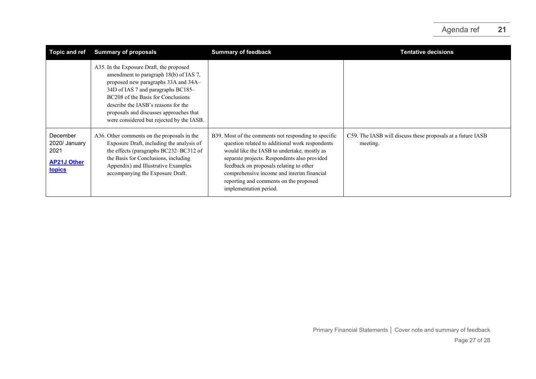| <b>Topic and ref</b>                                                     | <b>Summary of proposals</b>                                                                                                                                                                                                                                                                                                           | <b>Summary of feedback</b>                                                                                                                                                                                                                                                                                                                                          | <b>Tentative decisions</b>                                              |
|--------------------------------------------------------------------------|---------------------------------------------------------------------------------------------------------------------------------------------------------------------------------------------------------------------------------------------------------------------------------------------------------------------------------------|---------------------------------------------------------------------------------------------------------------------------------------------------------------------------------------------------------------------------------------------------------------------------------------------------------------------------------------------------------------------|-------------------------------------------------------------------------|
|                                                                          | A35. In the Exposure Draft, the proposed<br>amendment to paragraph 18(b) of IAS 7,<br>proposed new paragraphs 33A and 34A-<br>34D of IAS 7 and paragraphs BC185-<br>BC208 of the Basis for Conclusions<br>describe the IASB's reasons for the<br>proposals and discusses approaches that<br>were considered but rejected by the IASB. |                                                                                                                                                                                                                                                                                                                                                                     |                                                                         |
| December<br>2020/ January<br>2021<br><b>AP21J Other</b><br><b>topics</b> | A36. Other comments on the proposals in the<br>Exposure Draft, including the analysis of<br>the effects (paragraphs BC232-BC312 of<br>the Basis for Conclusions, including<br>Appendix) and Illustrative Examples<br>accompanying the Exposure Draft.                                                                                 | B39. Most of the comments not responding to specific<br>question related to additional work respondents<br>would like the IASB to undertake, mostly as<br>separate projects. Respondents also provided<br>feedback on proposals relating to other<br>comprehensive income and interim financial<br>reporting and comments on the proposed<br>implementation period. | C59. The IASB will discuss these proposals at a future IASB<br>meeting. |